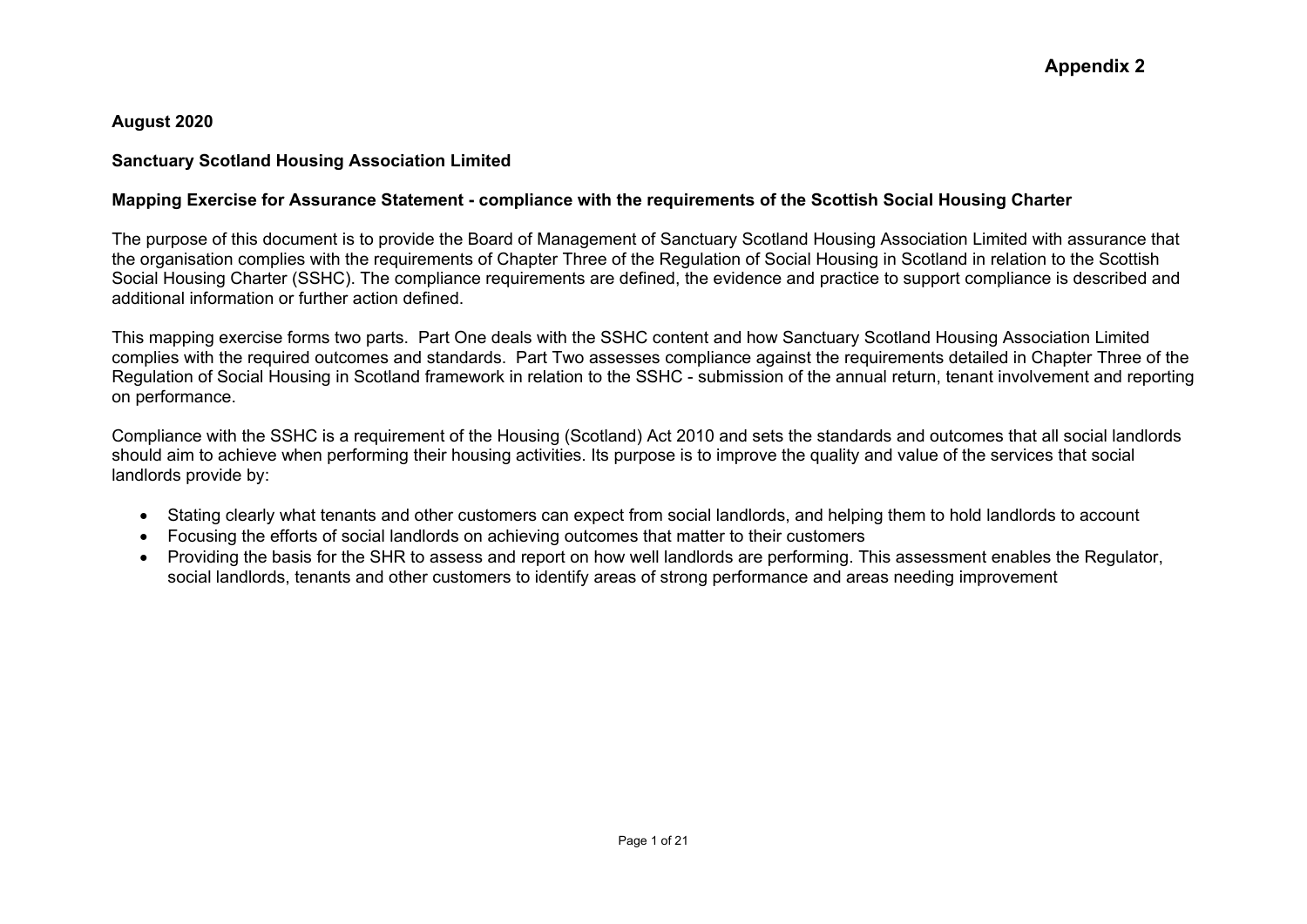#### **August 2020**

### **Sanctuary Scotland Housing Association Limited**

## **Mapping Exercise for Assurance Statement - compliance with the requirements of the Scottish Social Housing Charter**

The purpose of this document is to provide the Board of Management of Sanctuary Scotland Housing Association Limited with assurance that the organisation complies with the requirements of Chapter Three of the Regulation of Social Housing in Scotland in relation to the Scottish Social Housing Charter (SSHC). The compliance requirements are defined, the evidence and practice to support compliance is described and additional information or further action defined.

This mapping exercise forms two parts. Part One deals with the SSHC content and how Sanctuary Scotland Housing Association Limited complies with the required outcomes and standards. Part Two assesses compliance against the requirements detailed in Chapter Three of the Regulation of Social Housing in Scotland framework in relation to the SSHC - submission of the annual return, tenant involvement and reporting on performance.

Compliance with the SSHC is a requirement of the Housing (Scotland) Act 2010 and sets the standards and outcomes that all social landlords should aim to achieve when performing their housing activities. Its purpose is to improve the quality and value of the services that social landlords provide by:

- Stating clearly what tenants and other customers can expect from social landlords, and helping them to hold landlords to account
- Focusing the efforts of social landlords on achieving outcomes that matter to their customers
- Providing the basis for the SHR to assess and report on how well landlords are performing. This assessment enables the Regulator, social landlords, tenants and other customers to identify areas of strong performance and areas needing improvement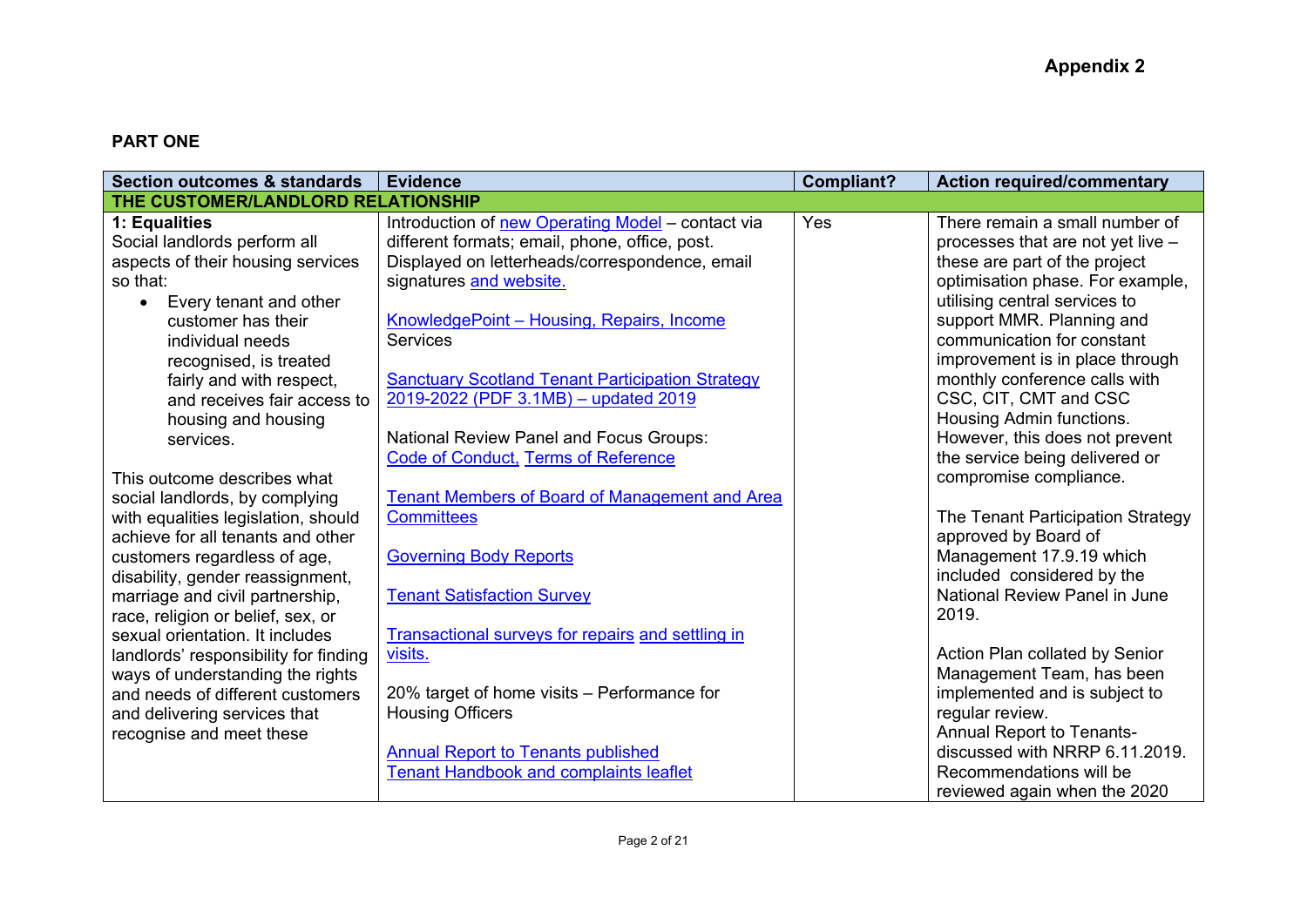# **PART ONE**

| <b>Section outcomes &amp; standards</b>                                                                                                                                                                                  | <b>Evidence</b>                                                                                                                                                                                                                                                                                             | <b>Compliant?</b> | <b>Action required/commentary</b>                                                                                                                                                                                                                                                                        |
|--------------------------------------------------------------------------------------------------------------------------------------------------------------------------------------------------------------------------|-------------------------------------------------------------------------------------------------------------------------------------------------------------------------------------------------------------------------------------------------------------------------------------------------------------|-------------------|----------------------------------------------------------------------------------------------------------------------------------------------------------------------------------------------------------------------------------------------------------------------------------------------------------|
| THE CUSTOMER/LANDLORD RELATIONSHIP                                                                                                                                                                                       |                                                                                                                                                                                                                                                                                                             |                   |                                                                                                                                                                                                                                                                                                          |
| 1: Equalities<br>Social landlords perform all<br>aspects of their housing services<br>so that:<br>Every tenant and other<br>customer has their<br>individual needs<br>recognised, is treated<br>fairly and with respect, | Introduction of new Operating Model - contact via<br>different formats; email, phone, office, post.<br>Displayed on letterheads/correspondence, email<br>signatures and website.<br>KnowledgePoint - Housing, Repairs, Income<br><b>Services</b><br><b>Sanctuary Scotland Tenant Participation Strategy</b> | Yes               | There remain a small number of<br>processes that are not yet live -<br>these are part of the project<br>optimisation phase. For example,<br>utilising central services to<br>support MMR. Planning and<br>communication for constant<br>improvement is in place through<br>monthly conference calls with |
| and receives fair access to<br>housing and housing<br>services.<br>This outcome describes what<br>social landlords, by complying                                                                                         | 2019-2022 (PDF 3.1MB) - updated 2019<br><b>National Review Panel and Focus Groups:</b><br><b>Code of Conduct, Terms of Reference</b><br><b>Tenant Members of Board of Management and Area</b>                                                                                                               |                   | CSC, CIT, CMT and CSC<br>Housing Admin functions.<br>However, this does not prevent<br>the service being delivered or<br>compromise compliance.                                                                                                                                                          |
| with equalities legislation, should<br>achieve for all tenants and other<br>customers regardless of age,<br>disability, gender reassignment,<br>marriage and civil partnership,<br>race, religion or belief, sex, or     | <b>Committees</b><br><b>Governing Body Reports</b><br><b>Tenant Satisfaction Survey</b>                                                                                                                                                                                                                     |                   | The Tenant Participation Strategy<br>approved by Board of<br>Management 17.9.19 which<br>included considered by the<br>National Review Panel in June<br>2019.                                                                                                                                            |
| sexual orientation. It includes<br>landlords' responsibility for finding<br>ways of understanding the rights<br>and needs of different customers<br>and delivering services that<br>recognise and meet these             | <b>Transactional surveys for repairs and settling in</b><br>visits.<br>20% target of home visits – Performance for<br><b>Housing Officers</b><br><b>Annual Report to Tenants published</b><br><b>Tenant Handbook and complaints leaflet</b>                                                                 |                   | Action Plan collated by Senior<br>Management Team, has been<br>implemented and is subject to<br>regular review.<br><b>Annual Report to Tenants-</b><br>discussed with NRRP 6.11.2019.<br>Recommendations will be<br>reviewed again when the 2020                                                         |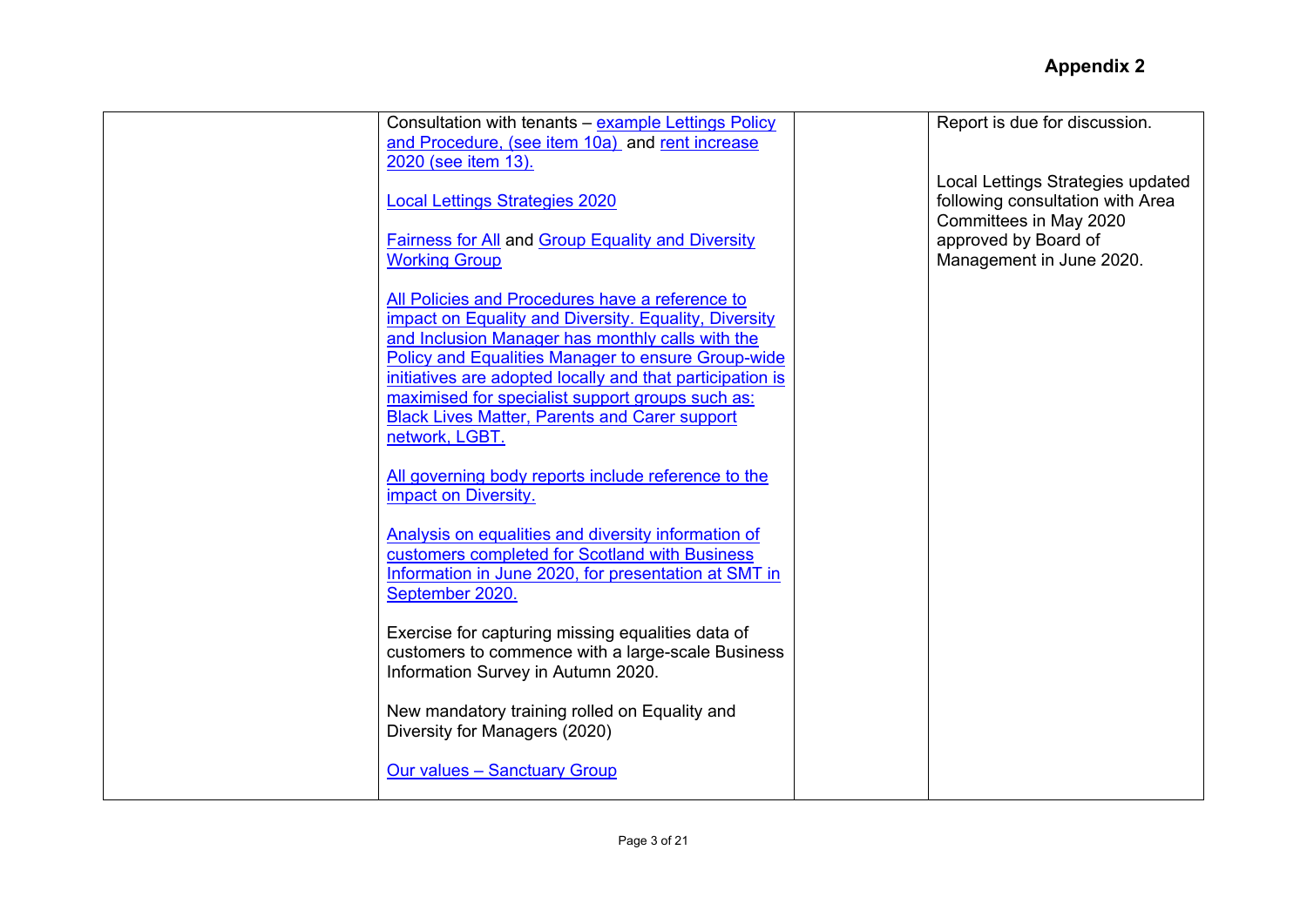| Consultation with tenants - example Lettings Policy<br>and Procedure, (see item 10a) and rent increase                    | Report is due for discussion.                              |
|---------------------------------------------------------------------------------------------------------------------------|------------------------------------------------------------|
| 2020 (see item 13).                                                                                                       | Local Lettings Strategies updated                          |
| <b>Local Lettings Strategies 2020</b>                                                                                     | following consultation with Area<br>Committees in May 2020 |
| <b>Fairness for All and Group Equality and Diversity</b><br><b>Working Group</b>                                          | approved by Board of<br>Management in June 2020.           |
| All Policies and Procedures have a reference to                                                                           |                                                            |
| impact on Equality and Diversity. Equality, Diversity                                                                     |                                                            |
| and Inclusion Manager has monthly calls with the<br>Policy and Equalities Manager to ensure Group-wide                    |                                                            |
| initiatives are adopted locally and that participation is<br>maximised for specialist support groups such as:             |                                                            |
| <b>Black Lives Matter, Parents and Carer support</b><br>network, LGBT.                                                    |                                                            |
| All governing body reports include reference to the<br>impact on Diversity.                                               |                                                            |
| Analysis on equalities and diversity information of                                                                       |                                                            |
| customers completed for Scotland with Business<br>Information in June 2020, for presentation at SMT in<br>September 2020. |                                                            |
| Exercise for capturing missing equalities data of                                                                         |                                                            |
| customers to commence with a large-scale Business                                                                         |                                                            |
| Information Survey in Autumn 2020.                                                                                        |                                                            |
| New mandatory training rolled on Equality and<br>Diversity for Managers (2020)                                            |                                                            |
| <b>Our values - Sanctuary Group</b>                                                                                       |                                                            |
|                                                                                                                           |                                                            |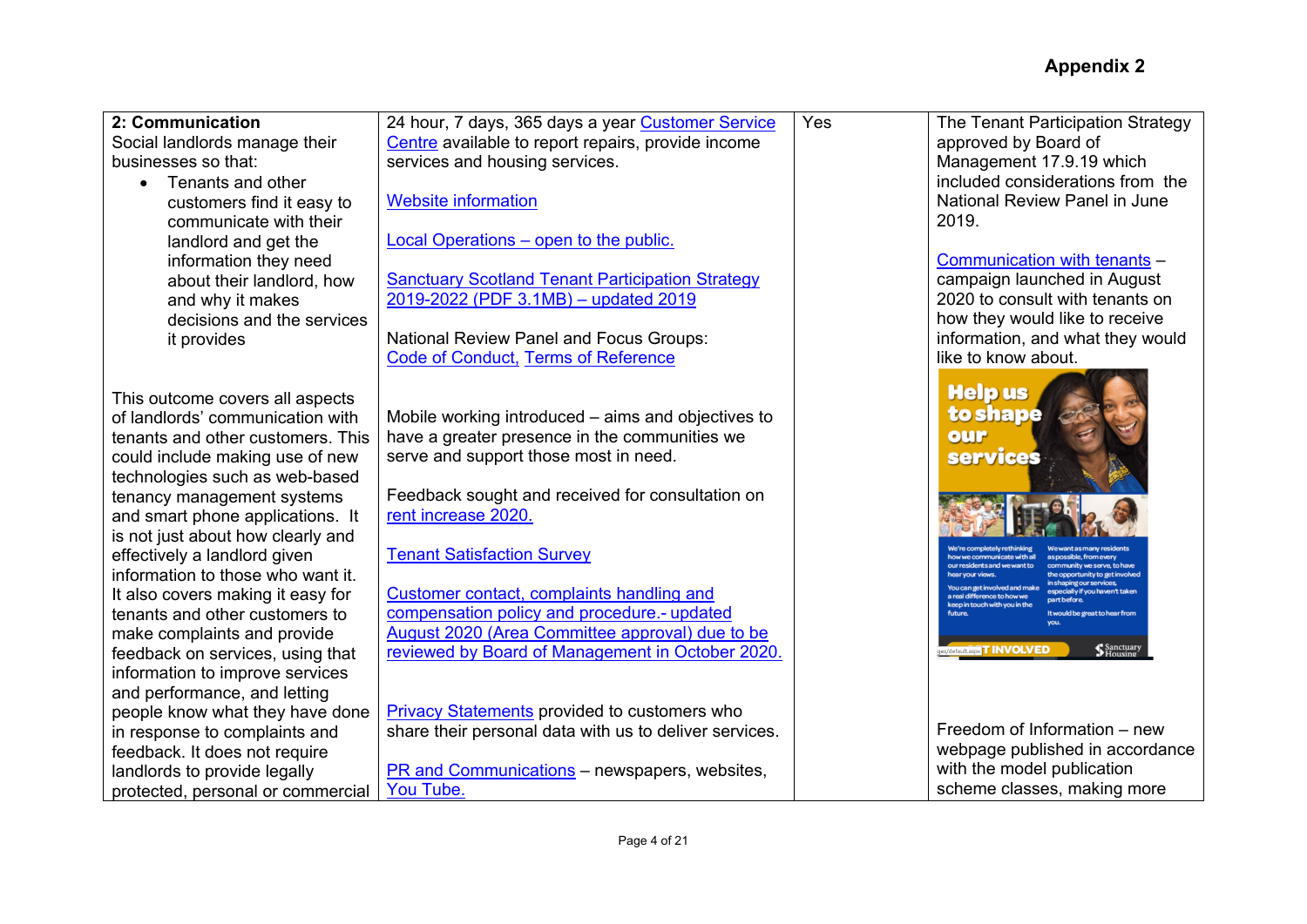| 2: Communication                  | 24 hour, 7 days, 365 days a year Customer Service       | Yes | The Tenant Participation Strategy                                                                                           |
|-----------------------------------|---------------------------------------------------------|-----|-----------------------------------------------------------------------------------------------------------------------------|
| Social landlords manage their     | Centre available to report repairs, provide income      |     | approved by Board of                                                                                                        |
| businesses so that:               | services and housing services.                          |     | Management 17.9.19 which                                                                                                    |
| Tenants and other<br>$\bullet$    |                                                         |     | included considerations from the                                                                                            |
| customers find it easy to         | <b>Website information</b>                              |     | National Review Panel in June                                                                                               |
| communicate with their            |                                                         |     | 2019.                                                                                                                       |
| landlord and get the              | Local Operations – open to the public.                  |     |                                                                                                                             |
| information they need             |                                                         |     | Communication with tenants -                                                                                                |
| about their landlord, how         | <b>Sanctuary Scotland Tenant Participation Strategy</b> |     | campaign launched in August                                                                                                 |
| and why it makes                  | 2019-2022 (PDF 3.1MB) - updated 2019                    |     | 2020 to consult with tenants on                                                                                             |
| decisions and the services        |                                                         |     | how they would like to receive                                                                                              |
| it provides                       | <b>National Review Panel and Focus Groups:</b>          |     | information, and what they would                                                                                            |
|                                   | <b>Code of Conduct, Terms of Reference</b>              |     | like to know about.                                                                                                         |
|                                   |                                                         |     |                                                                                                                             |
| This outcome covers all aspects   |                                                         |     | <b>Helpus</b>                                                                                                               |
| of landlords' communication with  | Mobile working introduced – aims and objectives to      |     | to shape                                                                                                                    |
| tenants and other customers. This | have a greater presence in the communities we           |     | our                                                                                                                         |
| could include making use of new   | serve and support those most in need.                   |     | <b>services</b>                                                                                                             |
| technologies such as web-based    |                                                         |     |                                                                                                                             |
| tenancy management systems        | Feedback sought and received for consultation on        |     |                                                                                                                             |
| and smart phone applications. It  | rent increase 2020.                                     |     |                                                                                                                             |
| is not just about how clearly and |                                                         |     |                                                                                                                             |
| effectively a landlord given      | <b>Tenant Satisfaction Survey</b>                       |     | how we communicate with all<br>as possible, from even                                                                       |
| information to those who want it. |                                                         |     | our residents and we want to<br>community we serve, to haw<br>ear vour views<br>the opportunity to get involved             |
| It also covers making it easy for | Customer contact, complaints handling and               |     | in shaping our services,<br>You can get involved and make<br>especially if you haven't taken<br>a real difference to how we |
| tenants and other customers to    | compensation policy and procedure.- updated             |     | part before<br>keep in touch with you in the<br>It would be great to hear from                                              |
| make complaints and provide       | August 2020 (Area Committee approval) due to be         |     |                                                                                                                             |
| feedback on services, using that  | reviewed by Board of Management in October 2020.        |     | Sanctuary<br>Housing<br>ges/default.aspx <b>T INVOLVED</b>                                                                  |
| information to improve services   |                                                         |     |                                                                                                                             |
| and performance, and letting      |                                                         |     |                                                                                                                             |
| people know what they have done   | <b>Privacy Statements provided to customers who</b>     |     |                                                                                                                             |
| in response to complaints and     | share their personal data with us to deliver services.  |     | Freedom of Information – new                                                                                                |
| feedback. It does not require     |                                                         |     | webpage published in accordance                                                                                             |
| landlords to provide legally      | PR and Communications - newspapers, websites,           |     | with the model publication                                                                                                  |
| protected, personal or commercial | You Tube.                                               |     | scheme classes, making more                                                                                                 |
|                                   |                                                         |     |                                                                                                                             |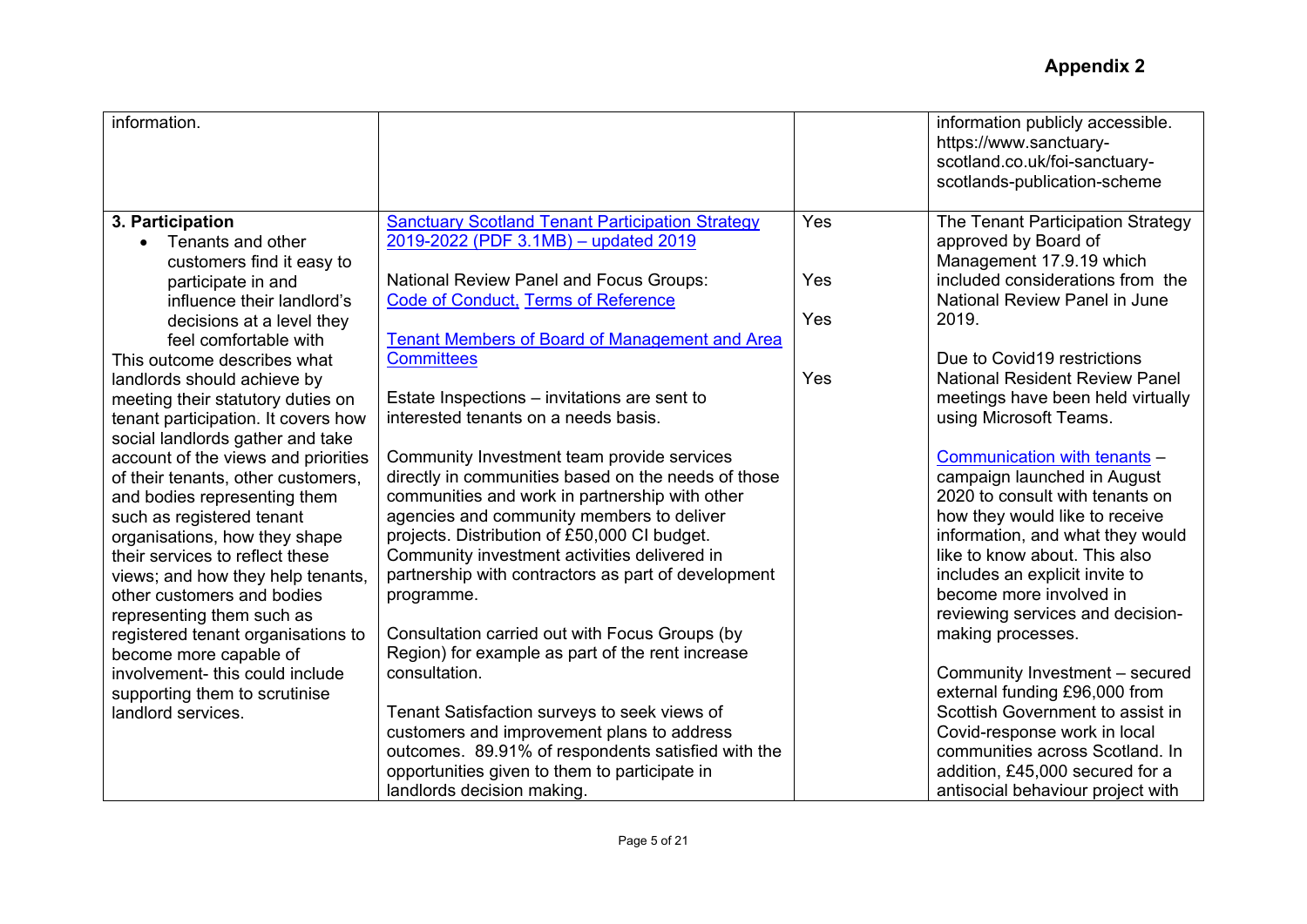| information.                                                             |                                                                                                     |     | information publicly accessible.<br>https://www.sanctuary-<br>scotland.co.uk/foi-sanctuary-<br>scotlands-publication-scheme |
|--------------------------------------------------------------------------|-----------------------------------------------------------------------------------------------------|-----|-----------------------------------------------------------------------------------------------------------------------------|
| 3. Participation<br>Tenants and other                                    | <b>Sanctuary Scotland Tenant Participation Strategy</b><br>2019-2022 (PDF 3.1MB) - updated 2019     | Yes | The Tenant Participation Strategy<br>approved by Board of                                                                   |
| customers find it easy to                                                |                                                                                                     |     | Management 17.9.19 which                                                                                                    |
| participate in and                                                       | <b>National Review Panel and Focus Groups:</b>                                                      | Yes | included considerations from the                                                                                            |
| influence their landlord's                                               | <b>Code of Conduct, Terms of Reference</b>                                                          |     | National Review Panel in June                                                                                               |
| decisions at a level they                                                |                                                                                                     | Yes | 2019.                                                                                                                       |
| feel comfortable with                                                    | <b>Tenant Members of Board of Management and Area</b>                                               |     |                                                                                                                             |
| This outcome describes what                                              | <b>Committees</b>                                                                                   | Yes | Due to Covid19 restrictions                                                                                                 |
| landlords should achieve by                                              | Estate Inspections – invitations are sent to                                                        |     | <b>National Resident Review Panel</b><br>meetings have been held virtually                                                  |
| meeting their statutory duties on<br>tenant participation. It covers how | interested tenants on a needs basis.                                                                |     | using Microsoft Teams.                                                                                                      |
| social landlords gather and take                                         |                                                                                                     |     |                                                                                                                             |
| account of the views and priorities                                      | Community Investment team provide services                                                          |     | Communication with tenants -                                                                                                |
| of their tenants, other customers,                                       | directly in communities based on the needs of those                                                 |     | campaign launched in August                                                                                                 |
| and bodies representing them                                             | communities and work in partnership with other                                                      |     | 2020 to consult with tenants on                                                                                             |
| such as registered tenant                                                | agencies and community members to deliver                                                           |     | how they would like to receive                                                                                              |
| organisations, how they shape                                            | projects. Distribution of £50,000 CI budget.                                                        |     | information, and what they would<br>like to know about. This also                                                           |
| their services to reflect these<br>views; and how they help tenants,     | Community investment activities delivered in<br>partnership with contractors as part of development |     | includes an explicit invite to                                                                                              |
| other customers and bodies                                               | programme.                                                                                          |     | become more involved in                                                                                                     |
| representing them such as                                                |                                                                                                     |     | reviewing services and decision-                                                                                            |
| registered tenant organisations to                                       | Consultation carried out with Focus Groups (by                                                      |     | making processes.                                                                                                           |
| become more capable of                                                   | Region) for example as part of the rent increase                                                    |     |                                                                                                                             |
| involvement- this could include                                          | consultation.                                                                                       |     | Community Investment - secured                                                                                              |
| supporting them to scrutinise                                            |                                                                                                     |     | external funding £96,000 from                                                                                               |
| landlord services.                                                       | Tenant Satisfaction surveys to seek views of                                                        |     | Scottish Government to assist in                                                                                            |
|                                                                          | customers and improvement plans to address                                                          |     | Covid-response work in local<br>communities across Scotland. In                                                             |
|                                                                          | outcomes. 89.91% of respondents satisfied with the<br>opportunities given to them to participate in |     | addition, £45,000 secured for a                                                                                             |
|                                                                          | landlords decision making.                                                                          |     | antisocial behaviour project with                                                                                           |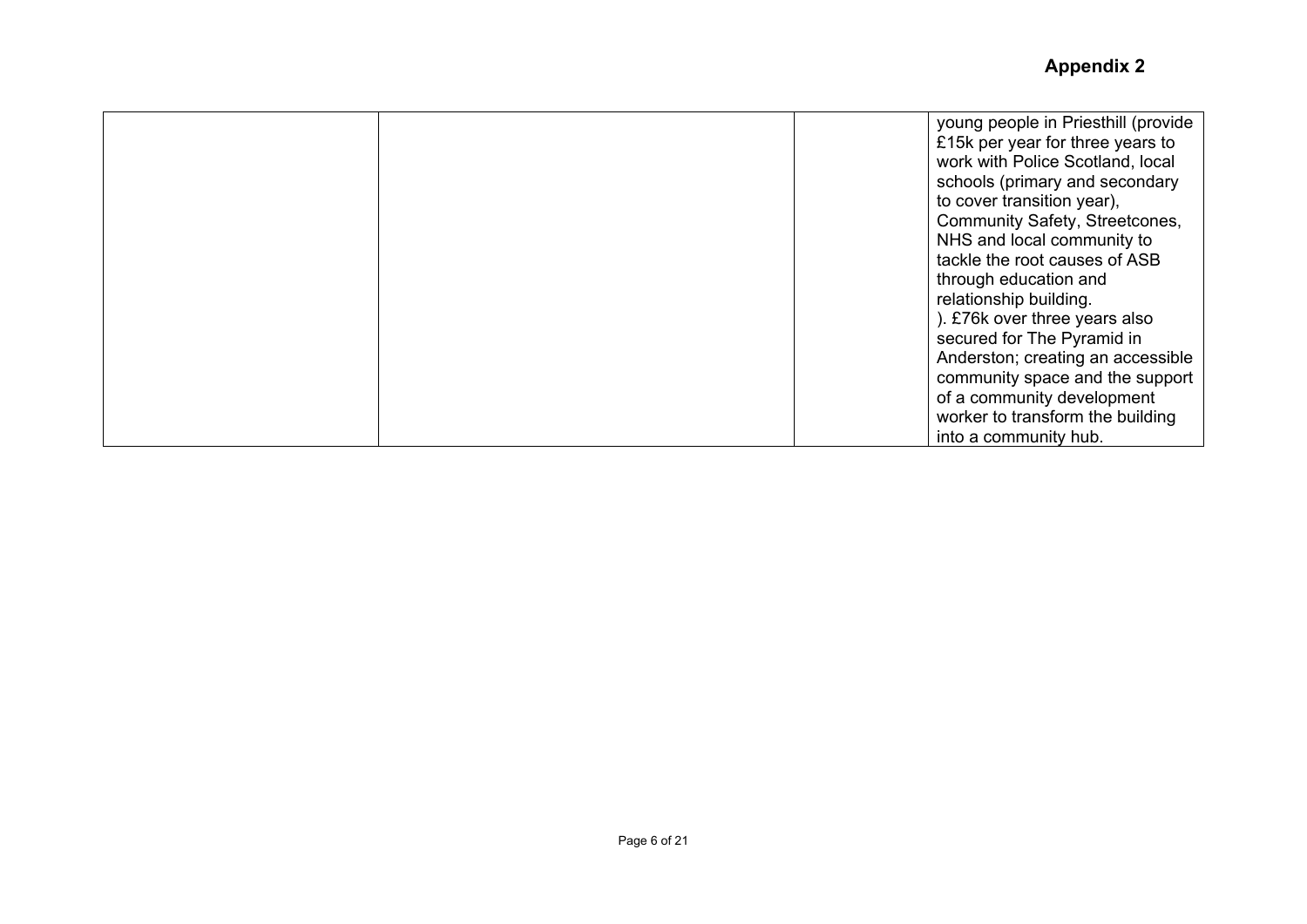|  | young people in Priesthill (provide |
|--|-------------------------------------|
|  | £15k per year for three years to    |
|  | work with Police Scotland, local    |
|  | schools (primary and secondary      |
|  | to cover transition year),          |
|  | Community Safety, Streetcones,      |
|  | NHS and local community to          |
|  | tackle the root causes of ASB       |
|  | through education and               |
|  | relationship building.              |
|  | ). £76k over three years also       |
|  | secured for The Pyramid in          |
|  | Anderston; creating an accessible   |
|  | community space and the support     |
|  | of a community development          |
|  | worker to transform the building    |
|  | into a community hub.               |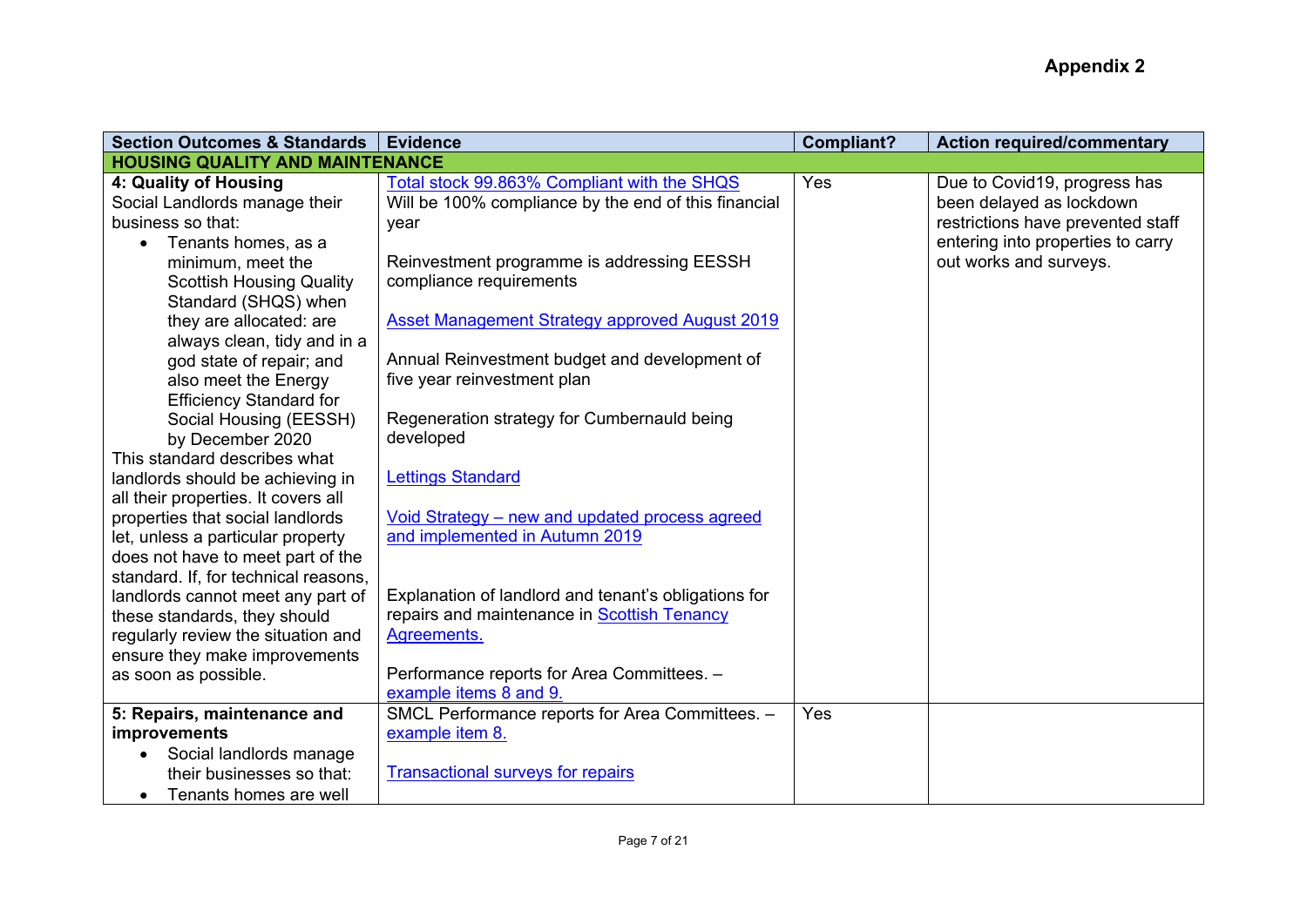| <b>Section Outcomes &amp; Standards</b> | <b>Evidence</b>                                      | <b>Compliant?</b> | <b>Action required/commentary</b> |
|-----------------------------------------|------------------------------------------------------|-------------------|-----------------------------------|
| <b>HOUSING QUALITY AND MAINTENANCE</b>  |                                                      |                   |                                   |
| 4: Quality of Housing                   | Total stock 99.863% Compliant with the SHQS          | Yes               | Due to Covid19, progress has      |
| Social Landlords manage their           | Will be 100% compliance by the end of this financial |                   | been delayed as lockdown          |
| business so that:                       | year                                                 |                   | restrictions have prevented staff |
| Tenants homes, as a                     |                                                      |                   | entering into properties to carry |
| minimum, meet the                       | Reinvestment programme is addressing EESSH           |                   | out works and surveys.            |
| <b>Scottish Housing Quality</b>         | compliance requirements                              |                   |                                   |
| Standard (SHQS) when                    |                                                      |                   |                                   |
| they are allocated: are                 | Asset Management Strategy approved August 2019       |                   |                                   |
| always clean, tidy and in a             |                                                      |                   |                                   |
| god state of repair; and                | Annual Reinvestment budget and development of        |                   |                                   |
| also meet the Energy                    | five year reinvestment plan                          |                   |                                   |
| <b>Efficiency Standard for</b>          |                                                      |                   |                                   |
| Social Housing (EESSH)                  | Regeneration strategy for Cumbernauld being          |                   |                                   |
| by December 2020                        | developed                                            |                   |                                   |
| This standard describes what            |                                                      |                   |                                   |
| landlords should be achieving in        | <b>Lettings Standard</b>                             |                   |                                   |
| all their properties. It covers all     |                                                      |                   |                                   |
| properties that social landlords        | Void Strategy - new and updated process agreed       |                   |                                   |
| let, unless a particular property       | and implemented in Autumn 2019                       |                   |                                   |
| does not have to meet part of the       |                                                      |                   |                                   |
| standard. If, for technical reasons,    |                                                      |                   |                                   |
| landlords cannot meet any part of       | Explanation of landlord and tenant's obligations for |                   |                                   |
| these standards, they should            | repairs and maintenance in Scottish Tenancy          |                   |                                   |
| regularly review the situation and      | Agreements.                                          |                   |                                   |
| ensure they make improvements           |                                                      |                   |                                   |
| as soon as possible.                    | Performance reports for Area Committees. -           |                   |                                   |
|                                         | example items 8 and 9.                               | Yes               |                                   |
| 5: Repairs, maintenance and             | SMCL Performance reports for Area Committees. -      |                   |                                   |
| improvements                            | example item 8.                                      |                   |                                   |
| Social landlords manage                 | <b>Transactional surveys for repairs</b>             |                   |                                   |
| their businesses so that:               |                                                      |                   |                                   |
| Tenants homes are well                  |                                                      |                   |                                   |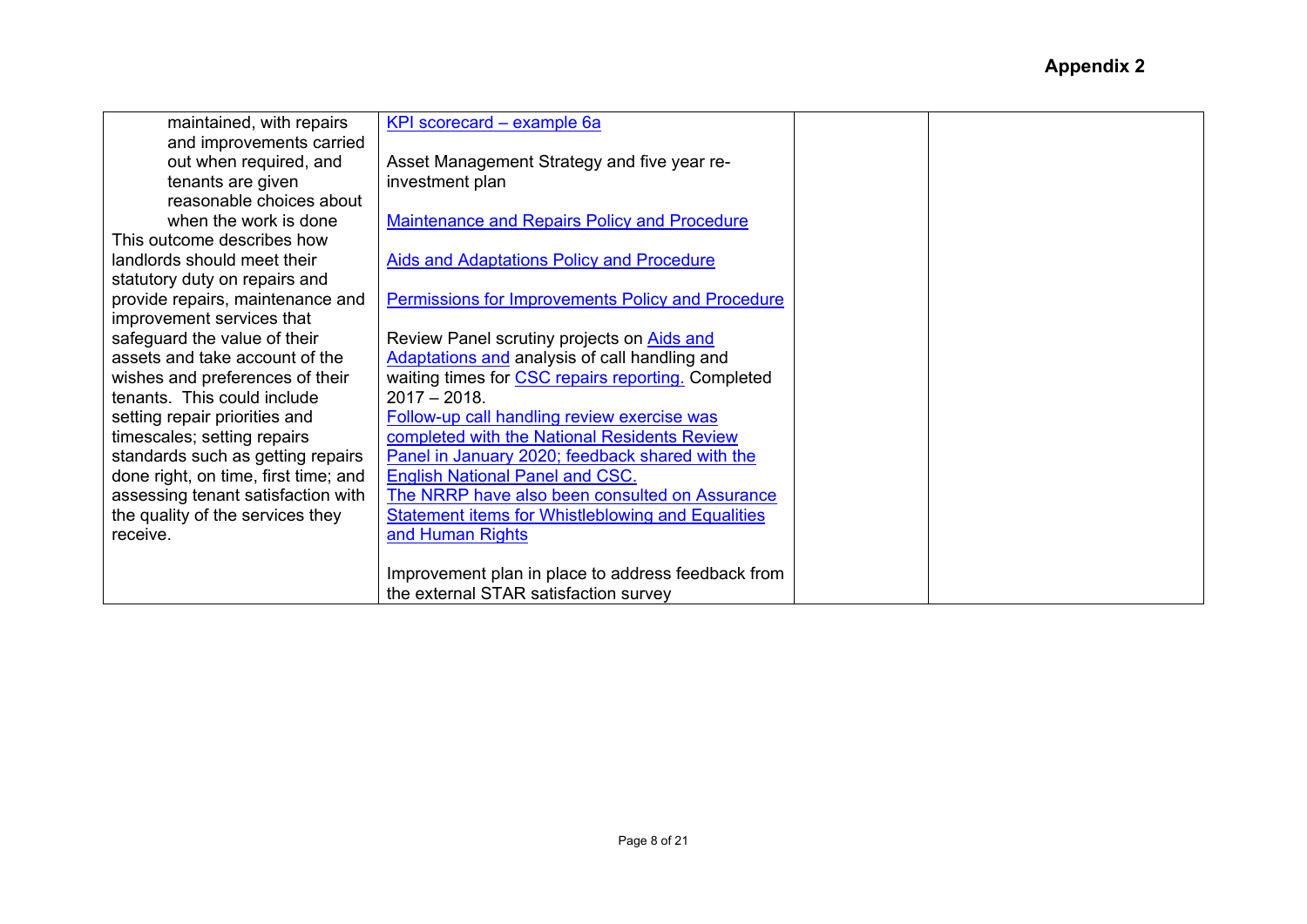| maintained, with repairs             | KPI scorecard - example 6a                               |  |  |
|--------------------------------------|----------------------------------------------------------|--|--|
| and improvements carried             |                                                          |  |  |
| out when required, and               | Asset Management Strategy and five year re-              |  |  |
| tenants are given                    | investment plan                                          |  |  |
| reasonable choices about             |                                                          |  |  |
| when the work is done                | <b>Maintenance and Repairs Policy and Procedure</b>      |  |  |
| This outcome describes how           |                                                          |  |  |
| landlords should meet their          | <b>Aids and Adaptations Policy and Procedure</b>         |  |  |
| statutory duty on repairs and        |                                                          |  |  |
| provide repairs, maintenance and     | <b>Permissions for Improvements Policy and Procedure</b> |  |  |
| improvement services that            |                                                          |  |  |
| safeguard the value of their         | Review Panel scrutiny projects on Aids and               |  |  |
| assets and take account of the       | Adaptations and analysis of call handling and            |  |  |
| wishes and preferences of their      | waiting times for CSC repairs reporting. Completed       |  |  |
| tenants. This could include          | $2017 - 2018$ .                                          |  |  |
| setting repair priorities and        | Follow-up call handling review exercise was              |  |  |
| timescales; setting repairs          | completed with the National Residents Review             |  |  |
| standards such as getting repairs    | Panel in January 2020; feedback shared with the          |  |  |
| done right, on time, first time; and | <b>English National Panel and CSC.</b>                   |  |  |
| assessing tenant satisfaction with   | The NRRP have also been consulted on Assurance           |  |  |
| the quality of the services they     | <b>Statement items for Whistleblowing and Equalities</b> |  |  |
| receive.                             | and Human Rights                                         |  |  |
|                                      |                                                          |  |  |
|                                      | Improvement plan in place to address feedback from       |  |  |
|                                      | the external STAR satisfaction survey                    |  |  |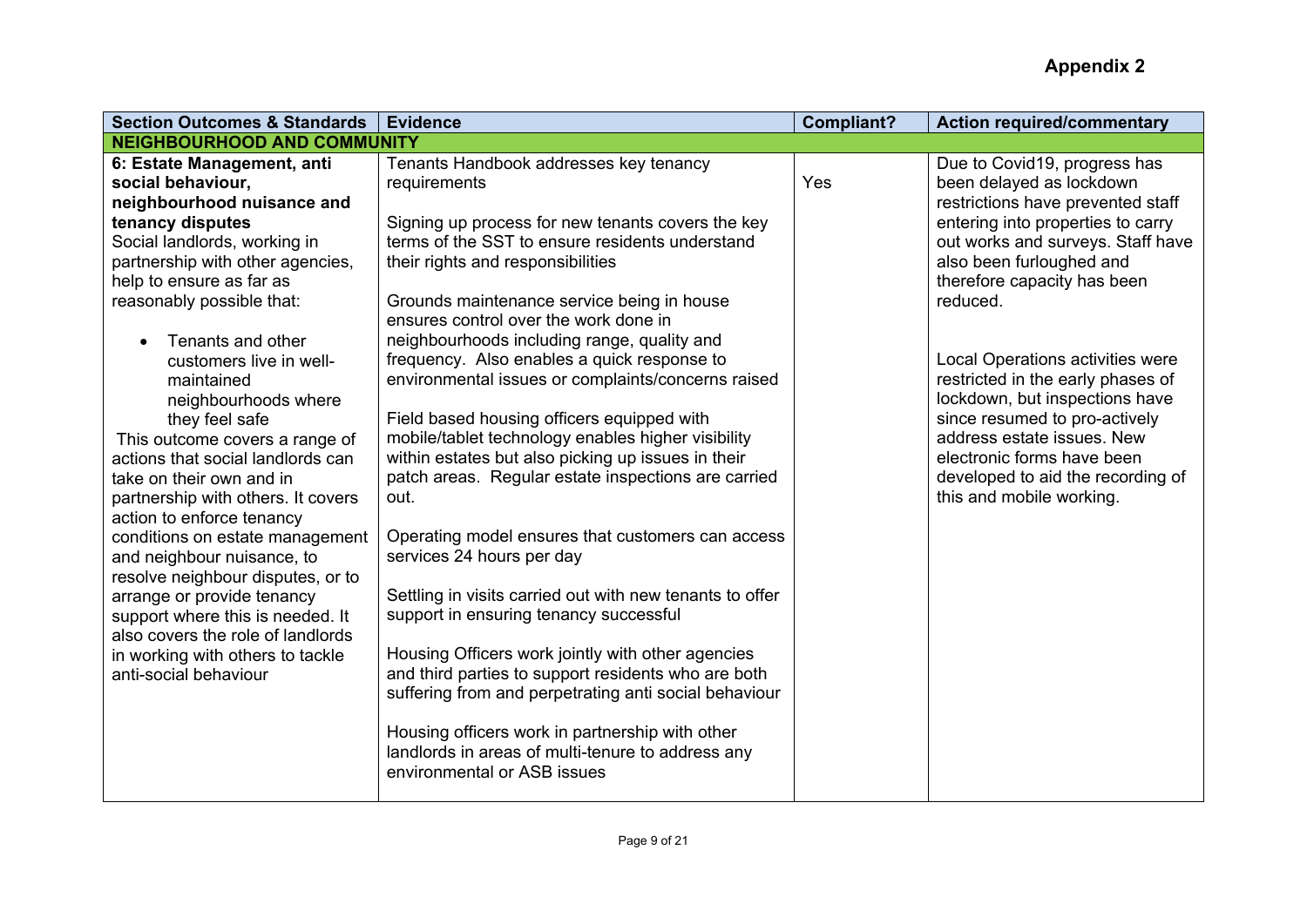| <b>Section Outcomes &amp; Standards</b>                       | <b>Evidence</b>                                          | <b>Compliant?</b> | <b>Action required/commentary</b> |
|---------------------------------------------------------------|----------------------------------------------------------|-------------------|-----------------------------------|
| <b>NEIGHBOURHOOD AND COMMUNITY</b>                            |                                                          |                   |                                   |
| 6: Estate Management, anti                                    | Tenants Handbook addresses key tenancy                   |                   | Due to Covid19, progress has      |
| social behaviour,                                             | requirements                                             | Yes               | been delayed as lockdown          |
| neighbourhood nuisance and                                    |                                                          |                   | restrictions have prevented staff |
| tenancy disputes                                              | Signing up process for new tenants covers the key        |                   | entering into properties to carry |
| Social landlords, working in                                  | terms of the SST to ensure residents understand          |                   | out works and surveys. Staff have |
| partnership with other agencies,                              | their rights and responsibilities                        |                   | also been furloughed and          |
| help to ensure as far as                                      |                                                          |                   | therefore capacity has been       |
| reasonably possible that:                                     | Grounds maintenance service being in house               |                   | reduced.                          |
|                                                               | ensures control over the work done in                    |                   |                                   |
| Tenants and other                                             | neighbourhoods including range, quality and              |                   |                                   |
| customers live in well-                                       | frequency. Also enables a quick response to              |                   | Local Operations activities were  |
| maintained                                                    | environmental issues or complaints/concerns raised       |                   | restricted in the early phases of |
| neighbourhoods where                                          |                                                          |                   | lockdown, but inspections have    |
| they feel safe                                                | Field based housing officers equipped with               |                   | since resumed to pro-actively     |
| This outcome covers a range of                                | mobile/tablet technology enables higher visibility       |                   | address estate issues. New        |
| actions that social landlords can                             | within estates but also picking up issues in their       |                   | electronic forms have been        |
| take on their own and in                                      | patch areas. Regular estate inspections are carried      |                   | developed to aid the recording of |
| partnership with others. It covers                            | out.                                                     |                   | this and mobile working.          |
| action to enforce tenancy                                     | Operating model ensures that customers can access        |                   |                                   |
| conditions on estate management<br>and neighbour nuisance, to | services 24 hours per day                                |                   |                                   |
| resolve neighbour disputes, or to                             |                                                          |                   |                                   |
| arrange or provide tenancy                                    | Settling in visits carried out with new tenants to offer |                   |                                   |
| support where this is needed. It                              | support in ensuring tenancy successful                   |                   |                                   |
| also covers the role of landlords                             |                                                          |                   |                                   |
| in working with others to tackle                              | Housing Officers work jointly with other agencies        |                   |                                   |
| anti-social behaviour                                         | and third parties to support residents who are both      |                   |                                   |
|                                                               | suffering from and perpetrating anti social behaviour    |                   |                                   |
|                                                               |                                                          |                   |                                   |
|                                                               | Housing officers work in partnership with other          |                   |                                   |
|                                                               | landlords in areas of multi-tenure to address any        |                   |                                   |
|                                                               | environmental or ASB issues                              |                   |                                   |
|                                                               |                                                          |                   |                                   |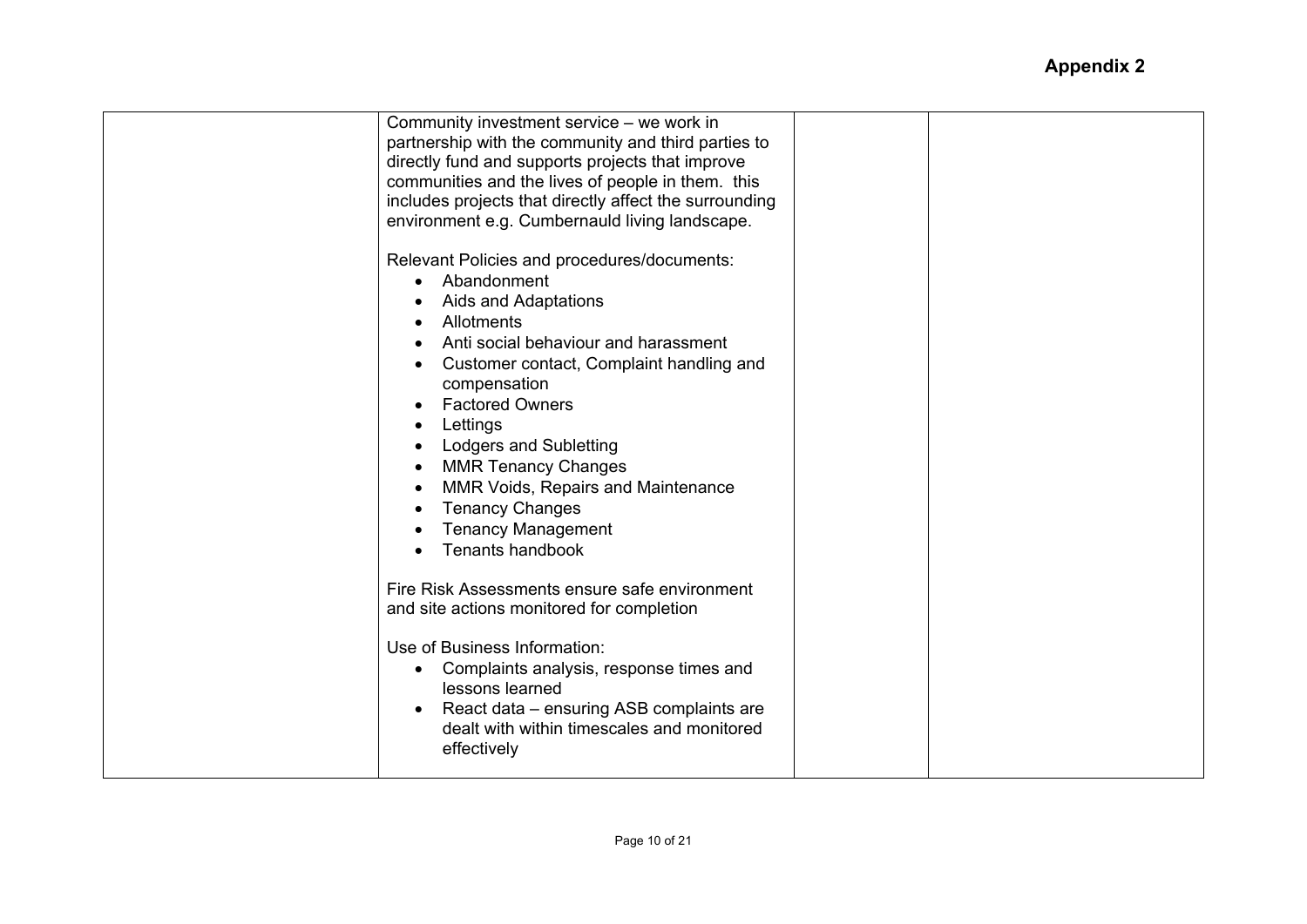| Community investment service - we work in<br>partnership with the community and third parties to<br>directly fund and supports projects that improve<br>communities and the lives of people in them. this<br>includes projects that directly affect the surrounding<br>environment e.g. Cumbernauld living landscape.<br>Relevant Policies and procedures/documents:<br>Abandonment<br>Aids and Adaptations<br>Allotments<br>Anti social behaviour and harassment<br>Customer contact, Complaint handling and<br>compensation<br><b>Factored Owners</b><br>Lettings<br><b>Lodgers and Subletting</b><br><b>MMR Tenancy Changes</b><br>MMR Voids, Repairs and Maintenance<br><b>Tenancy Changes</b><br><b>Tenancy Management</b><br><b>Tenants handbook</b> |  |
|------------------------------------------------------------------------------------------------------------------------------------------------------------------------------------------------------------------------------------------------------------------------------------------------------------------------------------------------------------------------------------------------------------------------------------------------------------------------------------------------------------------------------------------------------------------------------------------------------------------------------------------------------------------------------------------------------------------------------------------------------------|--|
|                                                                                                                                                                                                                                                                                                                                                                                                                                                                                                                                                                                                                                                                                                                                                            |  |
| Fire Risk Assessments ensure safe environment<br>and site actions monitored for completion                                                                                                                                                                                                                                                                                                                                                                                                                                                                                                                                                                                                                                                                 |  |
| Use of Business Information:<br>Complaints analysis, response times and<br>$\bullet$<br>lessons learned<br>React data – ensuring ASB complaints are<br>dealt with within timescales and monitored<br>effectively                                                                                                                                                                                                                                                                                                                                                                                                                                                                                                                                           |  |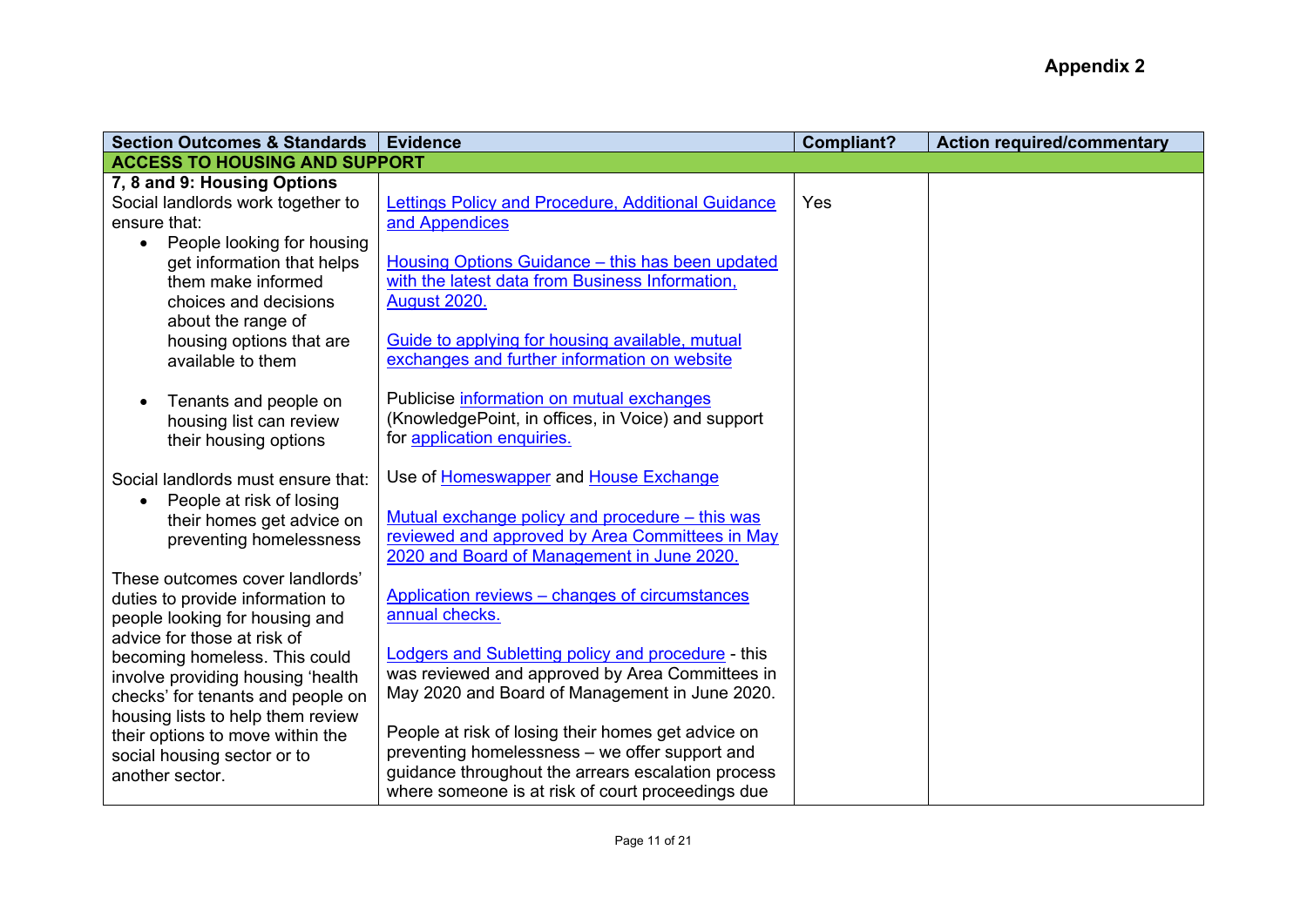| <b>Section Outcomes &amp; Standards</b>                                                                                                      | <b>Evidence</b>                                                                                                                                                                                                 | <b>Compliant?</b> | <b>Action required/commentary</b> |
|----------------------------------------------------------------------------------------------------------------------------------------------|-----------------------------------------------------------------------------------------------------------------------------------------------------------------------------------------------------------------|-------------------|-----------------------------------|
| <b>ACCESS TO HOUSING AND SUPPORT</b>                                                                                                         |                                                                                                                                                                                                                 |                   |                                   |
| 7, 8 and 9: Housing Options<br>Social landlords work together to<br>ensure that:                                                             | Lettings Policy and Procedure, Additional Guidance<br>and Appendices                                                                                                                                            | Yes               |                                   |
| People looking for housing<br>$\bullet$<br>get information that helps<br>them make informed<br>choices and decisions<br>about the range of   | Housing Options Guidance - this has been updated<br>with the latest data from Business Information,<br><b>August 2020.</b>                                                                                      |                   |                                   |
| housing options that are<br>available to them                                                                                                | Guide to applying for housing available, mutual<br>exchanges and further information on website                                                                                                                 |                   |                                   |
| Tenants and people on<br>housing list can review<br>their housing options                                                                    | Publicise information on mutual exchanges<br>(KnowledgePoint, in offices, in Voice) and support<br>for application enquiries.                                                                                   |                   |                                   |
| Social landlords must ensure that:<br>People at risk of losing<br>their homes get advice on<br>preventing homelessness                       | Use of Homeswapper and House Exchange<br>Mutual exchange policy and procedure - this was<br>reviewed and approved by Area Committees in May<br>2020 and Board of Management in June 2020.                       |                   |                                   |
| These outcomes cover landlords'<br>duties to provide information to<br>people looking for housing and<br>advice for those at risk of         | Application reviews - changes of circumstances<br>annual checks.                                                                                                                                                |                   |                                   |
| becoming homeless. This could<br>involve providing housing 'health<br>checks' for tenants and people on<br>housing lists to help them review | <b>Lodgers and Subletting policy and procedure - this</b><br>was reviewed and approved by Area Committees in<br>May 2020 and Board of Management in June 2020.                                                  |                   |                                   |
| their options to move within the<br>social housing sector or to<br>another sector.                                                           | People at risk of losing their homes get advice on<br>preventing homelessness - we offer support and<br>guidance throughout the arrears escalation process<br>where someone is at risk of court proceedings due |                   |                                   |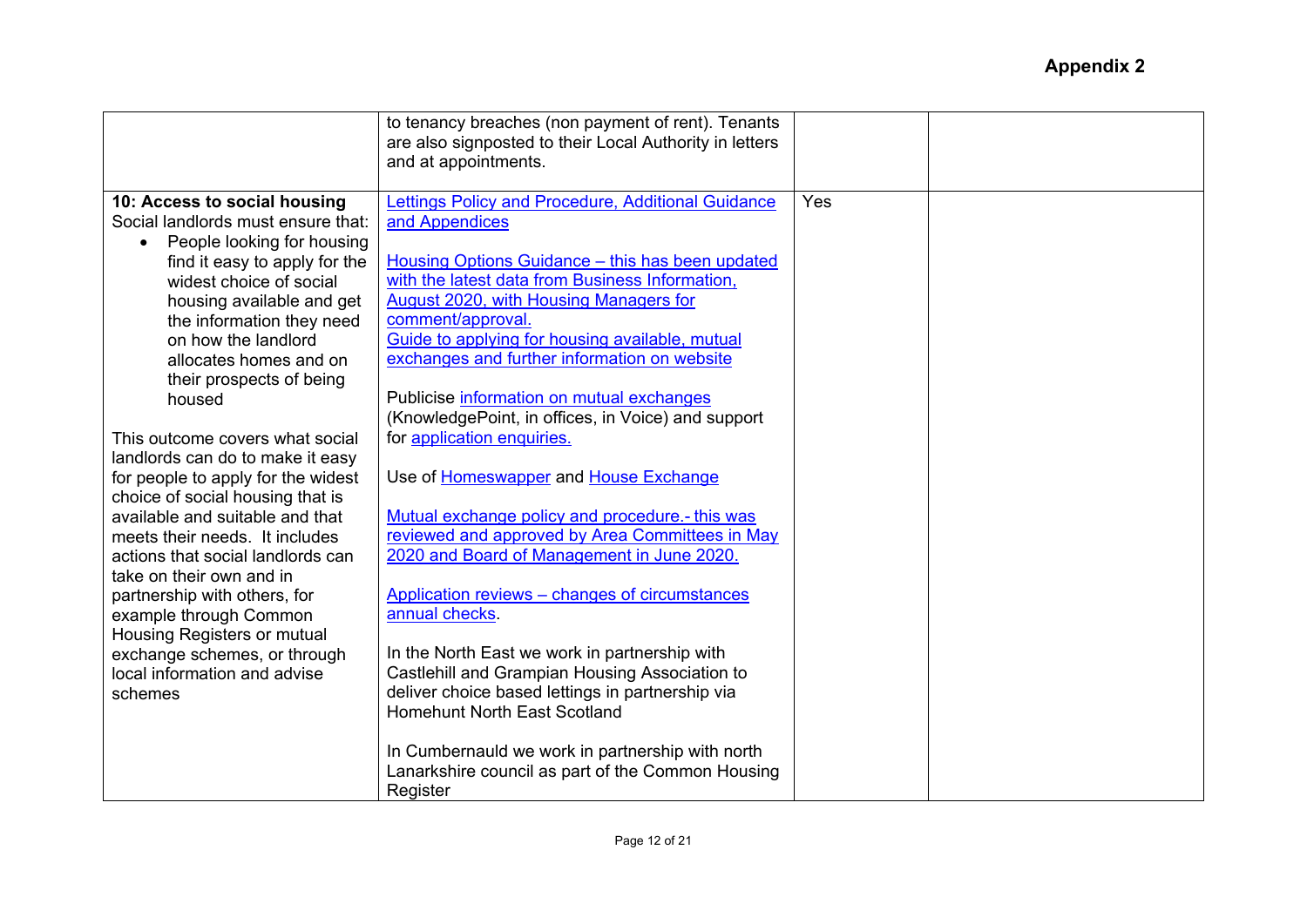|                                         | to tenancy breaches (non payment of rent). Tenants<br>are also signposted to their Local Authority in letters<br>and at appointments. |     |  |
|-----------------------------------------|---------------------------------------------------------------------------------------------------------------------------------------|-----|--|
| 10: Access to social housing            | Lettings Policy and Procedure, Additional Guidance                                                                                    | Yes |  |
| Social landlords must ensure that:      | and Appendices                                                                                                                        |     |  |
| People looking for housing<br>$\bullet$ |                                                                                                                                       |     |  |
| find it easy to apply for the           | Housing Options Guidance - this has been updated                                                                                      |     |  |
| widest choice of social                 | with the latest data from Business Information,                                                                                       |     |  |
| housing available and get               | August 2020, with Housing Managers for                                                                                                |     |  |
| the information they need               | comment/approval.                                                                                                                     |     |  |
| on how the landlord                     | Guide to applying for housing available, mutual                                                                                       |     |  |
| allocates homes and on                  | exchanges and further information on website                                                                                          |     |  |
| their prospects of being                |                                                                                                                                       |     |  |
| housed                                  | Publicise information on mutual exchanges<br>(KnowledgePoint, in offices, in Voice) and support                                       |     |  |
| This outcome covers what social         | for application enquiries.                                                                                                            |     |  |
| landlords can do to make it easy        |                                                                                                                                       |     |  |
| for people to apply for the widest      | Use of Homeswapper and House Exchange                                                                                                 |     |  |
| choice of social housing that is        |                                                                                                                                       |     |  |
| available and suitable and that         | Mutual exchange policy and procedure.- this was                                                                                       |     |  |
| meets their needs. It includes          | reviewed and approved by Area Committees in May                                                                                       |     |  |
| actions that social landlords can       | 2020 and Board of Management in June 2020.                                                                                            |     |  |
| take on their own and in                |                                                                                                                                       |     |  |
| partnership with others, for            | Application reviews - changes of circumstances                                                                                        |     |  |
| example through Common                  | annual checks.                                                                                                                        |     |  |
| <b>Housing Registers or mutual</b>      |                                                                                                                                       |     |  |
| exchange schemes, or through            | In the North East we work in partnership with                                                                                         |     |  |
| local information and advise            | Castlehill and Grampian Housing Association to                                                                                        |     |  |
| schemes                                 | deliver choice based lettings in partnership via                                                                                      |     |  |
|                                         | <b>Homehunt North East Scotland</b>                                                                                                   |     |  |
|                                         |                                                                                                                                       |     |  |
|                                         | In Cumbernauld we work in partnership with north                                                                                      |     |  |
|                                         | Lanarkshire council as part of the Common Housing                                                                                     |     |  |
|                                         | Register                                                                                                                              |     |  |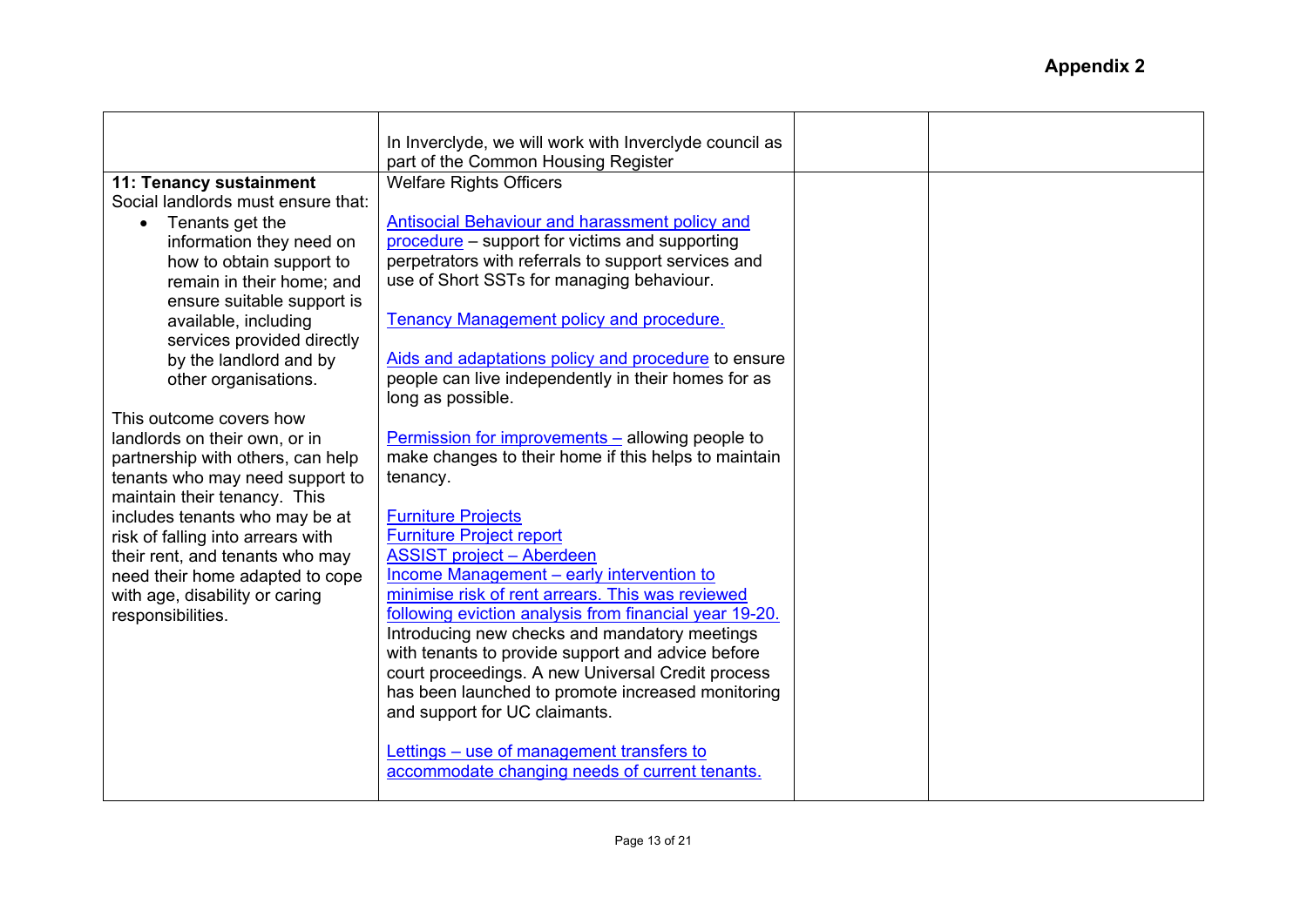|                                    | In Inverclyde, we will work with Inverclyde council as  |  |
|------------------------------------|---------------------------------------------------------|--|
|                                    | part of the Common Housing Register                     |  |
| 11: Tenancy sustainment            | <b>Welfare Rights Officers</b>                          |  |
| Social landlords must ensure that: |                                                         |  |
| Tenants get the                    | Antisocial Behaviour and harassment policy and          |  |
| information they need on           | procedure - support for victims and supporting          |  |
| how to obtain support to           | perpetrators with referrals to support services and     |  |
| remain in their home; and          | use of Short SSTs for managing behaviour.               |  |
| ensure suitable support is         |                                                         |  |
| available, including               | <b>Tenancy Management policy and procedure.</b>         |  |
| services provided directly         | Aids and adaptations policy and procedure to ensure     |  |
| by the landlord and by             | people can live independently in their homes for as     |  |
| other organisations.               | long as possible.                                       |  |
| This outcome covers how            |                                                         |  |
| landlords on their own, or in      | <b>Permission for improvements – allowing people to</b> |  |
| partnership with others, can help  | make changes to their home if this helps to maintain    |  |
| tenants who may need support to    | tenancy.                                                |  |
| maintain their tenancy. This       |                                                         |  |
| includes tenants who may be at     | <b>Furniture Projects</b>                               |  |
| risk of falling into arrears with  | <b>Furniture Project report</b>                         |  |
| their rent, and tenants who may    | <b>ASSIST project - Aberdeen</b>                        |  |
| need their home adapted to cope    | Income Management - early intervention to               |  |
| with age, disability or caring     | minimise risk of rent arrears. This was reviewed        |  |
| responsibilities.                  | following eviction analysis from financial year 19-20.  |  |
|                                    | Introducing new checks and mandatory meetings           |  |
|                                    | with tenants to provide support and advice before       |  |
|                                    | court proceedings. A new Universal Credit process       |  |
|                                    | has been launched to promote increased monitoring       |  |
|                                    | and support for UC claimants.                           |  |
|                                    | Lettings – use of management transfers to               |  |
|                                    | accommodate changing needs of current tenants.          |  |
|                                    |                                                         |  |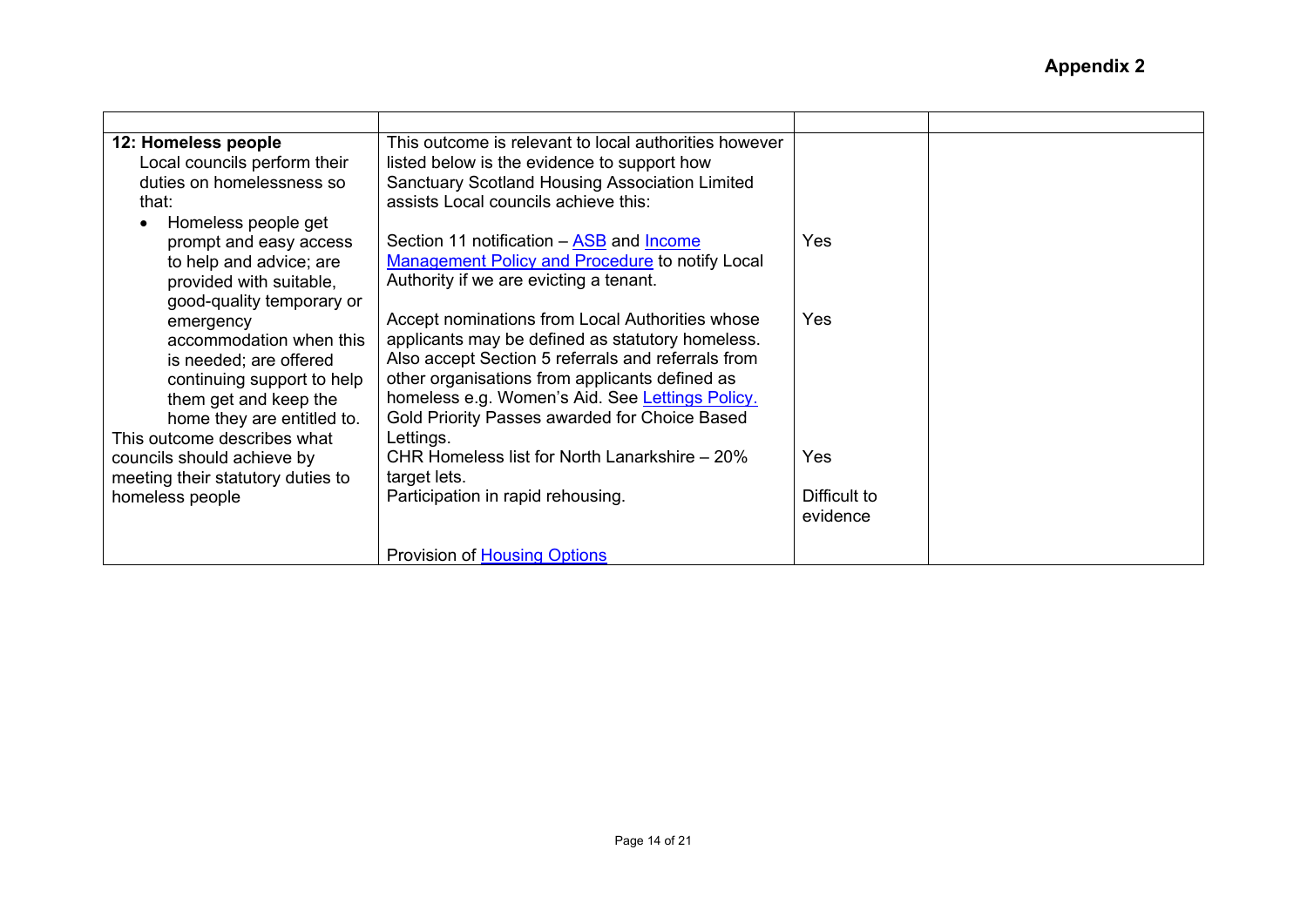| 12: Homeless people               | This outcome is relevant to local authorities however  |              |  |
|-----------------------------------|--------------------------------------------------------|--------------|--|
| Local councils perform their      | listed below is the evidence to support how            |              |  |
| duties on homelessness so         | <b>Sanctuary Scotland Housing Association Limited</b>  |              |  |
| that:                             | assists Local councils achieve this:                   |              |  |
| Homeless people get               |                                                        |              |  |
| prompt and easy access            | Section 11 notification – ASB and Income               | <b>Yes</b>   |  |
| to help and advice; are           | <b>Management Policy and Procedure to notify Local</b> |              |  |
| provided with suitable,           | Authority if we are evicting a tenant.                 |              |  |
| good-quality temporary or         |                                                        |              |  |
| emergency                         | Accept nominations from Local Authorities whose        | Yes          |  |
| accommodation when this           | applicants may be defined as statutory homeless.       |              |  |
| is needed; are offered            | Also accept Section 5 referrals and referrals from     |              |  |
| continuing support to help        | other organisations from applicants defined as         |              |  |
| them get and keep the             | homeless e.g. Women's Aid. See Lettings Policy.        |              |  |
| home they are entitled to.        | Gold Priority Passes awarded for Choice Based          |              |  |
| This outcome describes what       | Lettings.                                              |              |  |
| councils should achieve by        | CHR Homeless list for North Lanarkshire – 20%          | <b>Yes</b>   |  |
| meeting their statutory duties to | target lets.                                           |              |  |
| homeless people                   | Participation in rapid rehousing.                      | Difficult to |  |
|                                   |                                                        | evidence     |  |
|                                   |                                                        |              |  |
|                                   | <b>Provision of Housing Options</b>                    |              |  |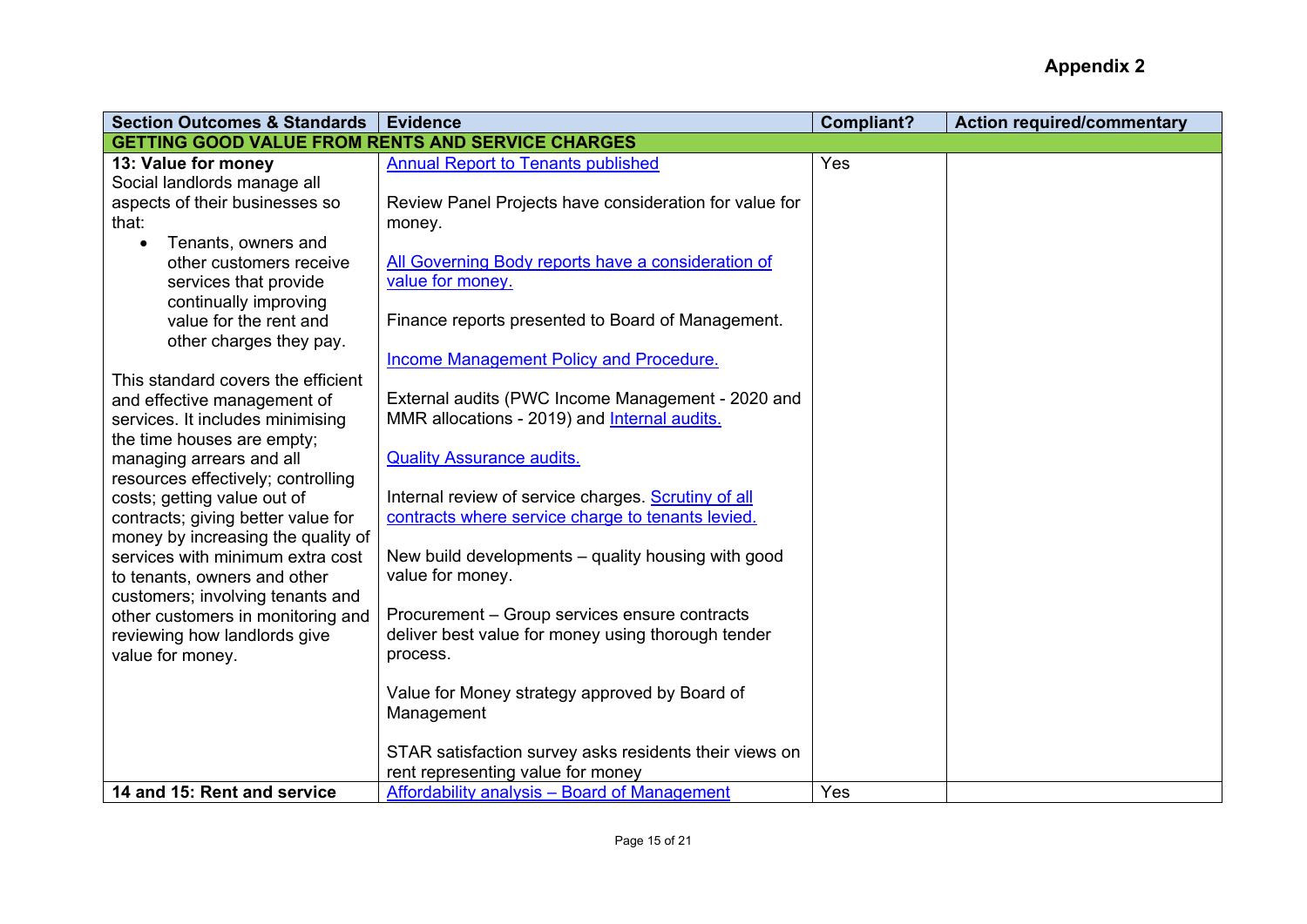| <b>Section Outcomes &amp; Standards</b>                           | <b>Evidence</b>                                        | <b>Compliant?</b> | <b>Action required/commentary</b> |
|-------------------------------------------------------------------|--------------------------------------------------------|-------------------|-----------------------------------|
| <b>GETTING GOOD VALUE FROM RENTS AND SERVICE CHARGES</b>          |                                                        |                   |                                   |
| 13: Value for money                                               | <b>Annual Report to Tenants published</b>              | Yes               |                                   |
| Social landlords manage all                                       |                                                        |                   |                                   |
| aspects of their businesses so                                    | Review Panel Projects have consideration for value for |                   |                                   |
| that:                                                             | money.                                                 |                   |                                   |
| Tenants, owners and                                               |                                                        |                   |                                   |
| other customers receive                                           | All Governing Body reports have a consideration of     |                   |                                   |
| services that provide                                             | value for money.                                       |                   |                                   |
| continually improving                                             |                                                        |                   |                                   |
| value for the rent and                                            | Finance reports presented to Board of Management.      |                   |                                   |
| other charges they pay.                                           |                                                        |                   |                                   |
|                                                                   | <b>Income Management Policy and Procedure.</b>         |                   |                                   |
| This standard covers the efficient                                |                                                        |                   |                                   |
| and effective management of                                       | External audits (PWC Income Management - 2020 and      |                   |                                   |
| services. It includes minimising                                  | MMR allocations - 2019) and <b>Internal audits.</b>    |                   |                                   |
| the time houses are empty;                                        | <b>Quality Assurance audits.</b>                       |                   |                                   |
| managing arrears and all                                          |                                                        |                   |                                   |
| resources effectively; controlling<br>costs; getting value out of | Internal review of service charges. Scrutiny of all    |                   |                                   |
| contracts; giving better value for                                | contracts where service charge to tenants levied.      |                   |                                   |
| money by increasing the quality of                                |                                                        |                   |                                   |
| services with minimum extra cost                                  | New build developments – quality housing with good     |                   |                                   |
| to tenants, owners and other                                      | value for money.                                       |                   |                                   |
| customers; involving tenants and                                  |                                                        |                   |                                   |
| other customers in monitoring and                                 | Procurement - Group services ensure contracts          |                   |                                   |
| reviewing how landlords give                                      | deliver best value for money using thorough tender     |                   |                                   |
| value for money.                                                  | process.                                               |                   |                                   |
|                                                                   |                                                        |                   |                                   |
|                                                                   | Value for Money strategy approved by Board of          |                   |                                   |
|                                                                   | Management                                             |                   |                                   |
|                                                                   |                                                        |                   |                                   |
|                                                                   | STAR satisfaction survey asks residents their views on |                   |                                   |
|                                                                   | rent representing value for money                      |                   |                                   |
| 14 and 15: Rent and service                                       | Affordability analysis - Board of Management           | Yes               |                                   |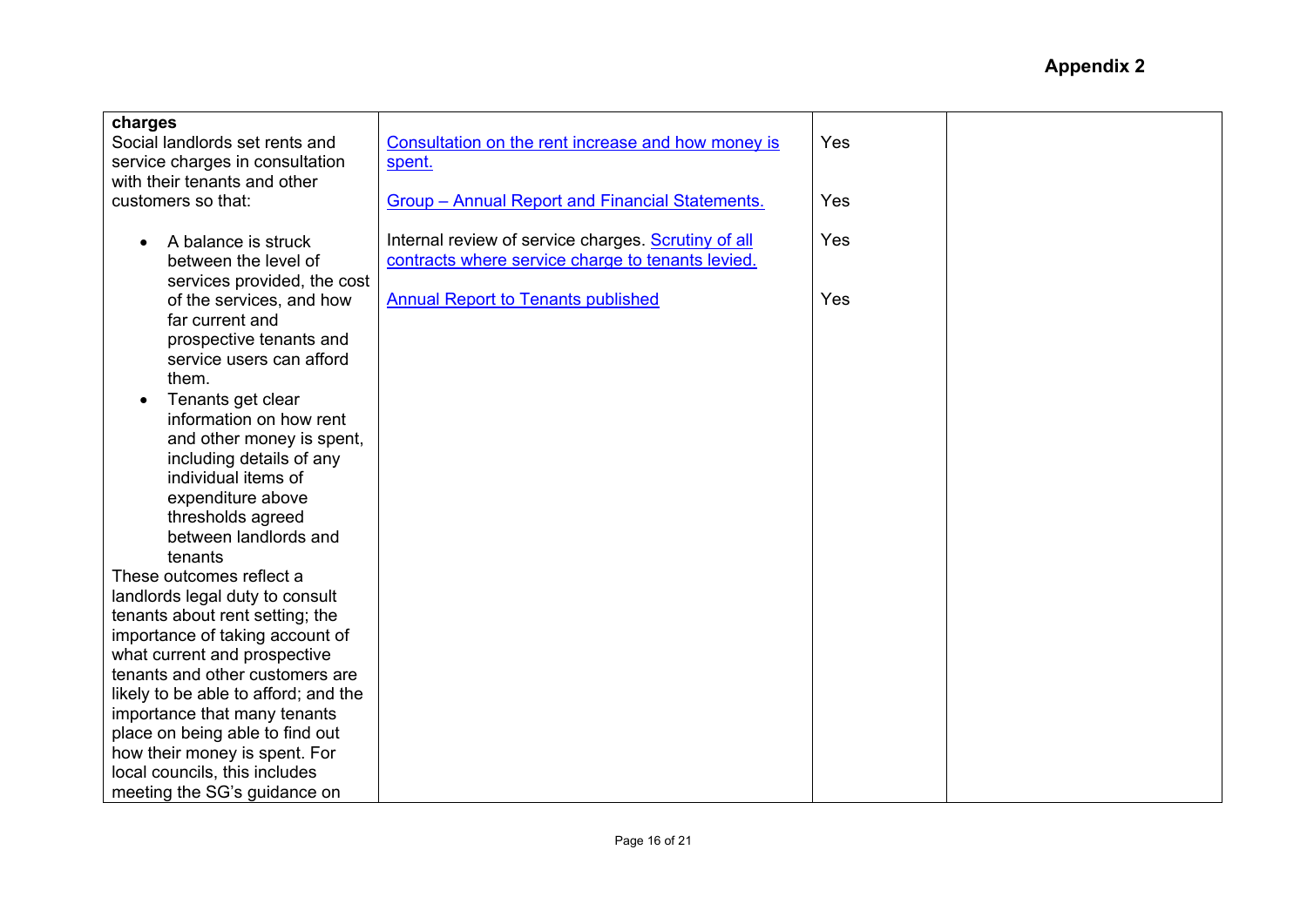| charges<br>Social landlords set rents and<br>service charges in consultation<br>with their tenants and other | Consultation on the rent increase and how money is<br>spent.                                             | Yes |  |
|--------------------------------------------------------------------------------------------------------------|----------------------------------------------------------------------------------------------------------|-----|--|
| customers so that:                                                                                           | <b>Group - Annual Report and Financial Statements.</b>                                                   | Yes |  |
| A balance is struck<br>between the level of<br>services provided, the cost                                   | Internal review of service charges. Scrutiny of all<br>contracts where service charge to tenants levied. | Yes |  |
| of the services, and how<br>far current and<br>prospective tenants and<br>service users can afford           | <b>Annual Report to Tenants published</b>                                                                | Yes |  |
| them.<br>Tenants get clear<br>information on how rent<br>and other money is spent,                           |                                                                                                          |     |  |
| including details of any<br>individual items of<br>expenditure above<br>thresholds agreed                    |                                                                                                          |     |  |
| between landlords and<br>tenants                                                                             |                                                                                                          |     |  |
| These outcomes reflect a<br>landlords legal duty to consult<br>tenants about rent setting; the               |                                                                                                          |     |  |
| importance of taking account of<br>what current and prospective                                              |                                                                                                          |     |  |
| tenants and other customers are<br>likely to be able to afford; and the                                      |                                                                                                          |     |  |
| importance that many tenants<br>place on being able to find out                                              |                                                                                                          |     |  |
| how their money is spent. For<br>local councils, this includes<br>meeting the SG's guidance on               |                                                                                                          |     |  |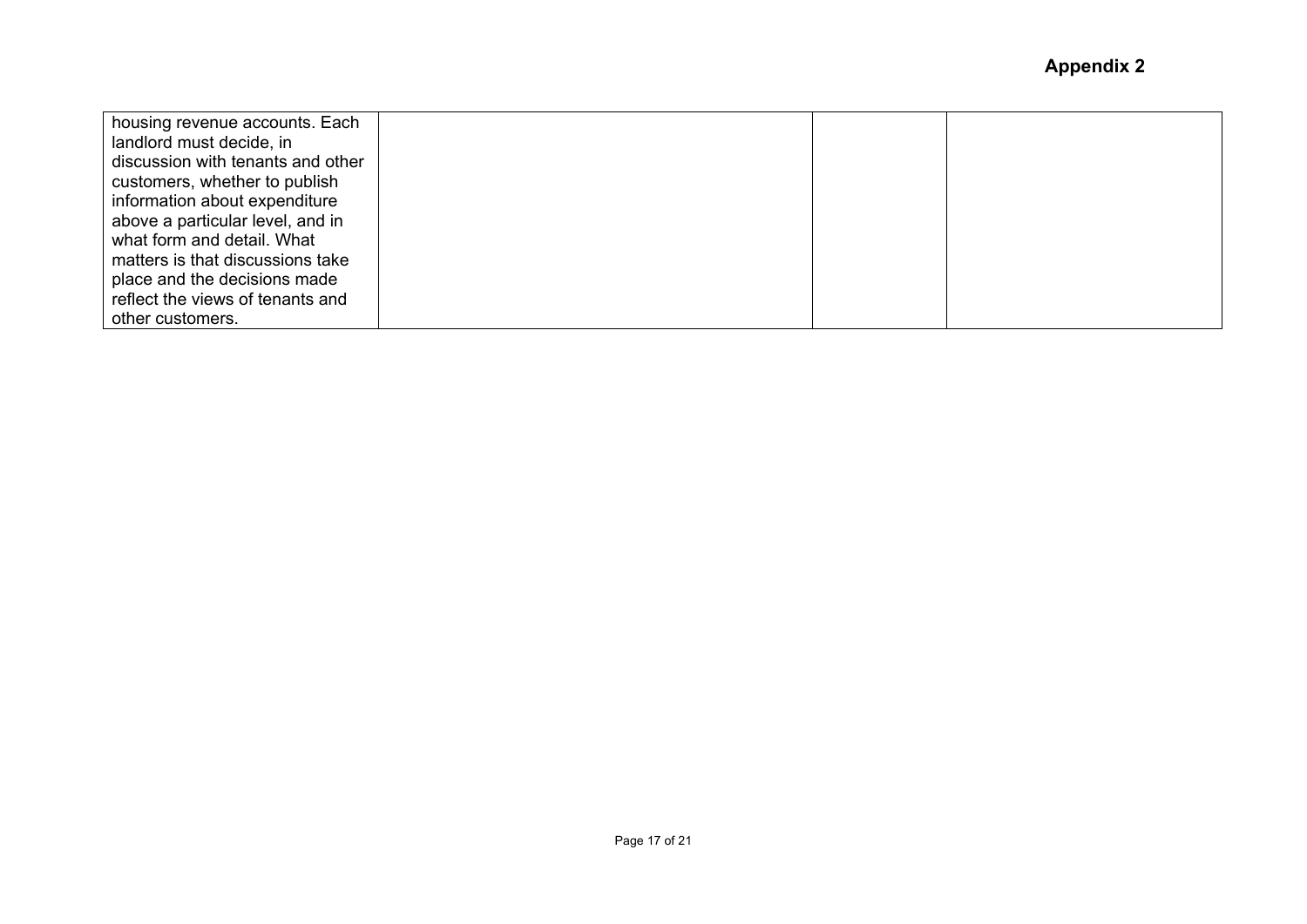| housing revenue accounts. Each    |  |  |
|-----------------------------------|--|--|
| landlord must decide, in          |  |  |
| discussion with tenants and other |  |  |
| customers, whether to publish     |  |  |
| information about expenditure     |  |  |
| above a particular level, and in  |  |  |
| what form and detail. What        |  |  |
| matters is that discussions take  |  |  |
| place and the decisions made      |  |  |
| reflect the views of tenants and  |  |  |
| other customers.                  |  |  |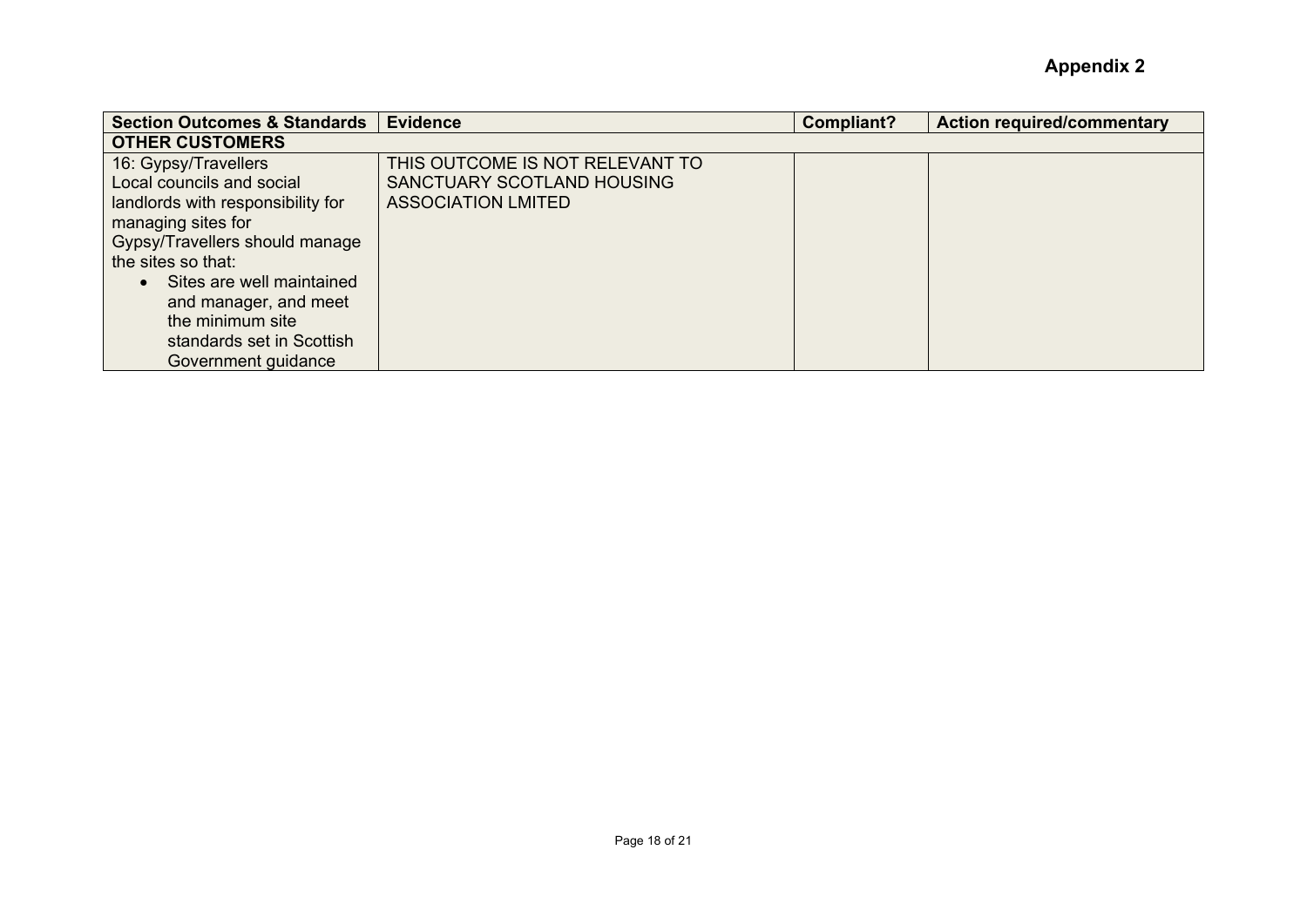| <b>Section Outcomes &amp; Standards</b> | <b>Evidence</b>                 | <b>Compliant?</b> | <b>Action required/commentary</b> |
|-----------------------------------------|---------------------------------|-------------------|-----------------------------------|
| <b>OTHER CUSTOMERS</b>                  |                                 |                   |                                   |
| 16: Gypsy/Travellers                    | THIS OUTCOME IS NOT RELEVANT TO |                   |                                   |
| Local councils and social               | SANCTUARY SCOTLAND HOUSING      |                   |                                   |
| landlords with responsibility for       | <b>ASSOCIATION LMITED</b>       |                   |                                   |
| managing sites for                      |                                 |                   |                                   |
| Gypsy/Travellers should manage          |                                 |                   |                                   |
| the sites so that:                      |                                 |                   |                                   |
| Sites are well maintained               |                                 |                   |                                   |
| and manager, and meet                   |                                 |                   |                                   |
| the minimum site                        |                                 |                   |                                   |
| standards set in Scottish               |                                 |                   |                                   |
| Government guidance                     |                                 |                   |                                   |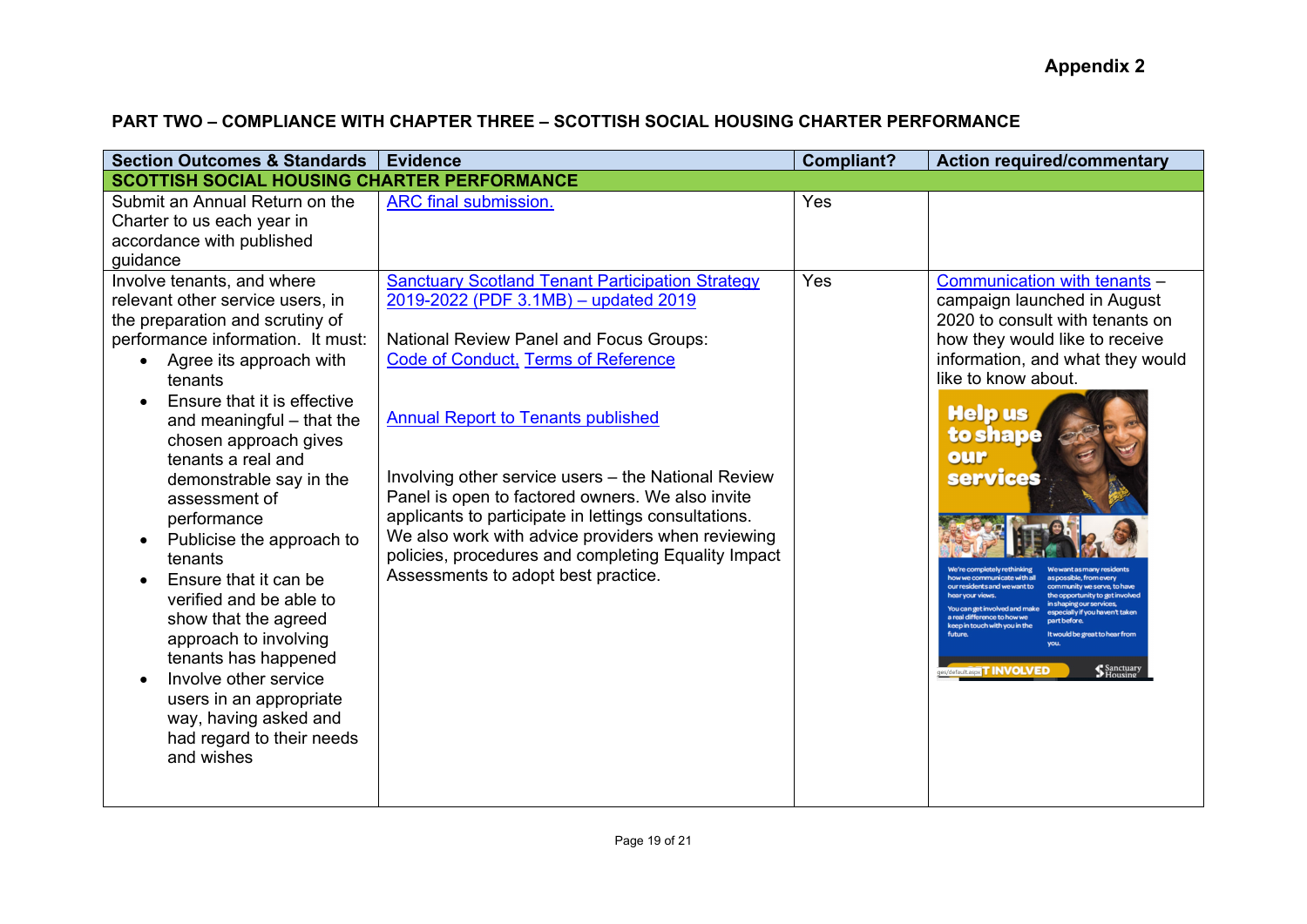# **PART TWO – COMPLIANCE WITH CHAPTER THREE – SCOTTISH SOCIAL HOUSING CHARTER PERFORMANCE**

| <b>Section Outcomes &amp; Standards</b>                                                                                                                                                                                                                                                                                                                                                                                                                                                                                                                                                                                                         | <b>Evidence</b>                                                                                                                                                                                                                                                                                                                                                                                                                                                                                                                                                    | <b>Compliant?</b> | <b>Action required/commentary</b>                                                                                                                                                                                                                                                                                                                                                                                                                                                                                                                 |
|-------------------------------------------------------------------------------------------------------------------------------------------------------------------------------------------------------------------------------------------------------------------------------------------------------------------------------------------------------------------------------------------------------------------------------------------------------------------------------------------------------------------------------------------------------------------------------------------------------------------------------------------------|--------------------------------------------------------------------------------------------------------------------------------------------------------------------------------------------------------------------------------------------------------------------------------------------------------------------------------------------------------------------------------------------------------------------------------------------------------------------------------------------------------------------------------------------------------------------|-------------------|---------------------------------------------------------------------------------------------------------------------------------------------------------------------------------------------------------------------------------------------------------------------------------------------------------------------------------------------------------------------------------------------------------------------------------------------------------------------------------------------------------------------------------------------------|
| <b>SCOTTISH SOCIAL HOUSING CHARTER PERFORMANCE</b>                                                                                                                                                                                                                                                                                                                                                                                                                                                                                                                                                                                              |                                                                                                                                                                                                                                                                                                                                                                                                                                                                                                                                                                    |                   |                                                                                                                                                                                                                                                                                                                                                                                                                                                                                                                                                   |
| Submit an Annual Return on the<br>Charter to us each year in<br>accordance with published<br>guidance                                                                                                                                                                                                                                                                                                                                                                                                                                                                                                                                           | ARC final submission.                                                                                                                                                                                                                                                                                                                                                                                                                                                                                                                                              | Yes               |                                                                                                                                                                                                                                                                                                                                                                                                                                                                                                                                                   |
| Involve tenants, and where<br>relevant other service users, in<br>the preparation and scrutiny of<br>performance information. It must:<br>Agree its approach with<br>tenants<br>Ensure that it is effective<br>and meaningful - that the<br>chosen approach gives<br>tenants a real and<br>demonstrable say in the<br>assessment of<br>performance<br>Publicise the approach to<br>tenants<br>Ensure that it can be<br>verified and be able to<br>show that the agreed<br>approach to involving<br>tenants has happened<br>Involve other service<br>users in an appropriate<br>way, having asked and<br>had regard to their needs<br>and wishes | <b>Sanctuary Scotland Tenant Participation Strategy</b><br>2019-2022 (PDF 3.1MB) - updated 2019<br><b>National Review Panel and Focus Groups:</b><br><b>Code of Conduct, Terms of Reference</b><br><b>Annual Report to Tenants published</b><br>Involving other service users - the National Review<br>Panel is open to factored owners. We also invite<br>applicants to participate in lettings consultations.<br>We also work with advice providers when reviewing<br>policies, procedures and completing Equality Impact<br>Assessments to adopt best practice. | Yes               | Communication with tenants -<br>campaign launched in August<br>2020 to consult with tenants on<br>how they would like to receive<br>information, and what they would<br>like to know about.<br><b>Helpus</b><br>to shape<br>our<br><b>services</b><br>y we communicate with all<br>in shaping our services,<br>can get involved and make<br>especially if you haven't take<br>a real difference to how we<br>partbefore<br>keep in touch with you in the<br>It would be great to hear from<br>Sanctuary<br>Housing<br>ges/default.aspx T INVOLVED |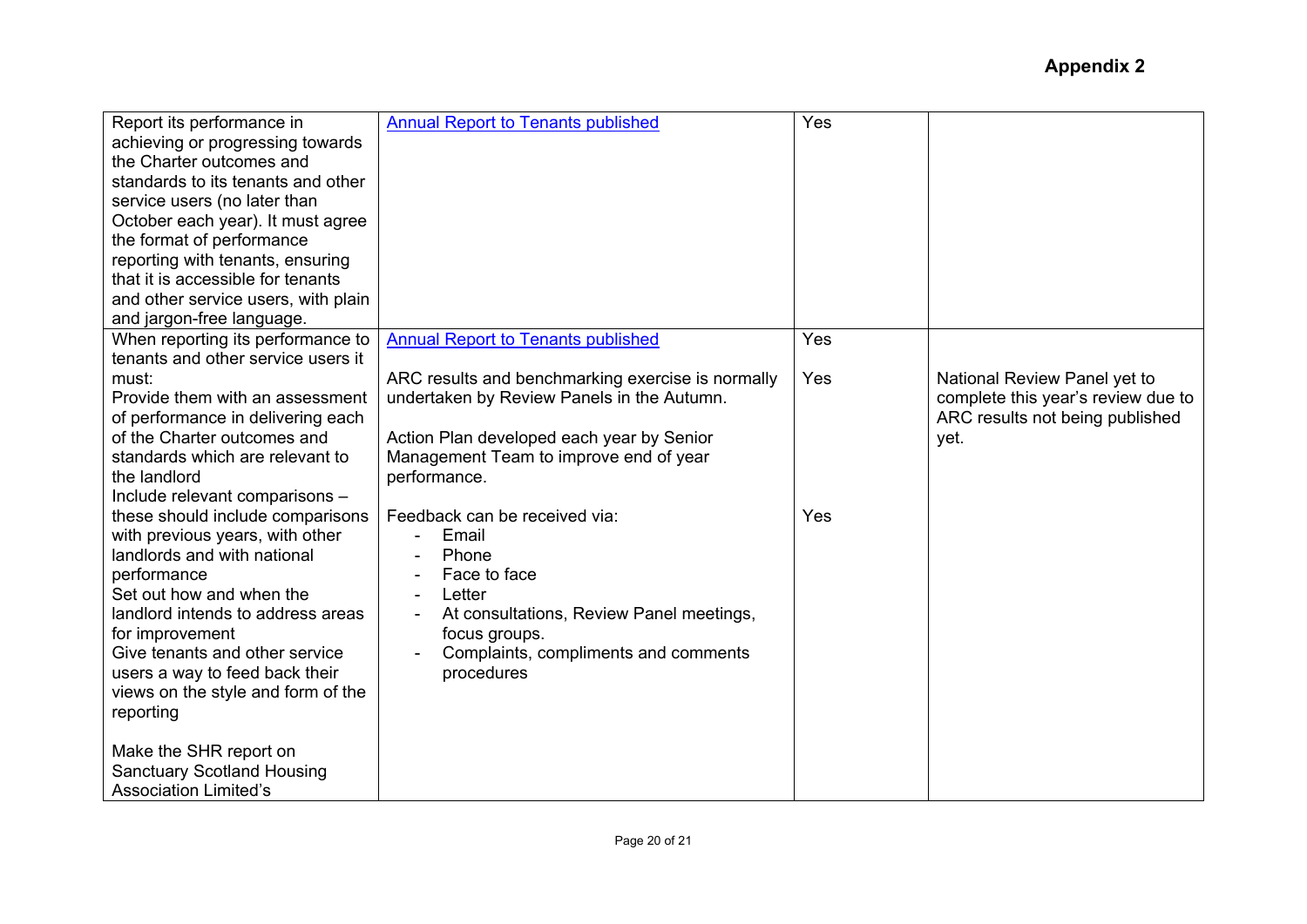| Report its performance in<br>achieving or progressing towards<br>the Charter outcomes and<br>standards to its tenants and other<br>service users (no later than<br>October each year). It must agree<br>the format of performance<br>reporting with tenants, ensuring<br>that it is accessible for tenants<br>and other service users, with plain<br>and jargon-free language. | <b>Annual Report to Tenants published</b>                                                                                                                                                              | Yes |                                                                                                               |
|--------------------------------------------------------------------------------------------------------------------------------------------------------------------------------------------------------------------------------------------------------------------------------------------------------------------------------------------------------------------------------|--------------------------------------------------------------------------------------------------------------------------------------------------------------------------------------------------------|-----|---------------------------------------------------------------------------------------------------------------|
| When reporting its performance to                                                                                                                                                                                                                                                                                                                                              | <b>Annual Report to Tenants published</b>                                                                                                                                                              | Yes |                                                                                                               |
| tenants and other service users it<br>must:<br>Provide them with an assessment<br>of performance in delivering each<br>of the Charter outcomes and<br>standards which are relevant to<br>the landlord<br>Include relevant comparisons -                                                                                                                                        | ARC results and benchmarking exercise is normally<br>undertaken by Review Panels in the Autumn.<br>Action Plan developed each year by Senior<br>Management Team to improve end of year<br>performance. | Yes | National Review Panel yet to<br>complete this year's review due to<br>ARC results not being published<br>yet. |
| these should include comparisons<br>with previous years, with other<br>landlords and with national<br>performance<br>Set out how and when the<br>landlord intends to address areas<br>for improvement<br>Give tenants and other service<br>users a way to feed back their<br>views on the style and form of the<br>reporting                                                   | Feedback can be received via:<br>Email<br>Phone<br>Face to face<br>Letter<br>At consultations, Review Panel meetings,<br>focus groups.<br>Complaints, compliments and comments<br>procedures           | Yes |                                                                                                               |
| Make the SHR report on<br><b>Sanctuary Scotland Housing</b><br><b>Association Limited's</b>                                                                                                                                                                                                                                                                                    |                                                                                                                                                                                                        |     |                                                                                                               |